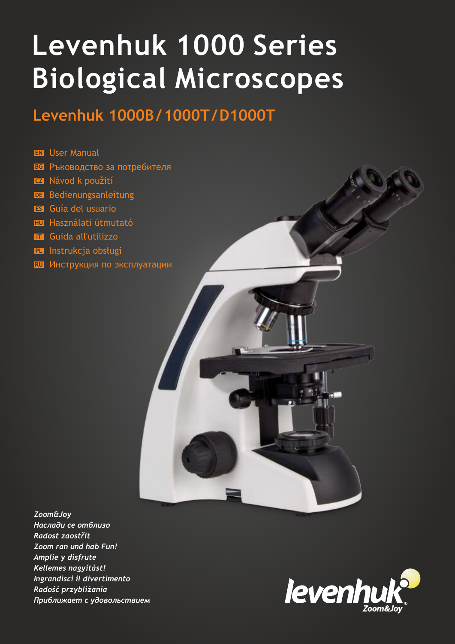# **Levenhuk 1000 Series Biological Microscopes**

# **Levenhuk 1000B/1000T/D1000T**

#### **EN** User Manual

- **BG** Ръководство за потребителя
- **CZ**  Návod k použití
- **DE** Bedienungsanleitung
- **ES** Guía del usuario
- **HU** Használati útmutató
- **IT** Guida all'utilizzo
- **PL** Instrukcja obsługi
- **RU** Инструкция по эксплуатации



*Zoom&Joy Наслади се отблизо Radost zaostřit Zoom ran und hab Fun! Amplíe y disfrute Kellemes nagyítást! Ingrandisci il divertimento Radość przybliżania Приближает с удовольствием*

![](_page_0_Picture_13.jpeg)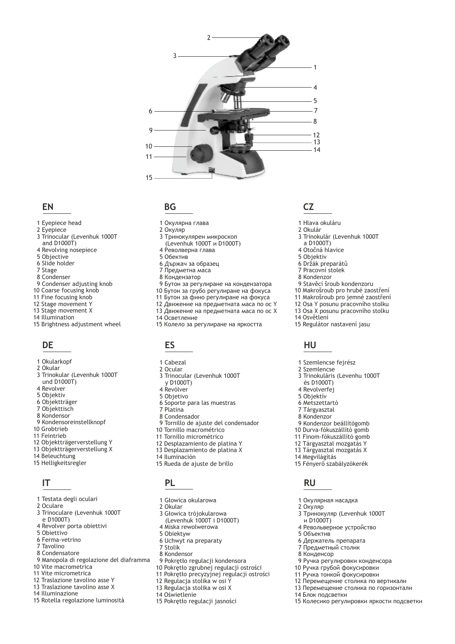![](_page_1_Picture_0.jpeg)

#### **EN**

- 1 Eyepiece head
- 2 Eyepiece
- 3 Trinocular (Levenhuk 1000T and  $D1000T$ )
- 4 Revolving nosepiece
- 5 Objective
- 6 Slide holder
- 7 Stage
- 8 Condenser
- 9 Condenser adjusting knob
- 10 Coarse focusing knob
- 11 Fine focusing knob
- 12 Stage movement Y
- 13 Stage movement X
- 14 Illumination
- 15 Brightness adjustment wheel

#### **DE**

- 1 Okularkopf
- 2 Okular
- 3 Trinokular (Levenhuk 1000T und D1000T)
- 4 Revolver
- 5 Objektiv
- 6 Objektträger
- 7 Objekttisch
- 8 Kondensor
- 9 Kondensoreinstellknopf
- 10 Grobtrieb
- 11 Feintrieb
- 12 Objektträgerverstellung Y
- 13 Objektträgerverstellung X
- 14 Beleuchtung
- 15 Helligkeitsregler

#### **IT**

- 1 Testata degli oculari
- 2 Oculare
- 3 Trinoculare (Levenhuk 1000T
- e D1000T) 4 Revolver porta obiettivi
- 5 Obiettivo
- 6 Ferma-vetrino
- 7 Tavolino
- 8 Condensatore
- 9 Manopola di regolazione del diaframma
- 10 Vite macrometrica
- 11 Vite micrometrica
- 12 Traslazione tavolino asse Y
- 13 Traslazione tavolino asse X
- 14 Illuminazione
- 15 Rotella regolazione luminosità

#### **BG**

- 1 Окулярна глава
- 2 Окуляр
- 3 Тринокулярен микроскоп
- (Levenhuk 1000T и D1000T)
- 4 Револверна глава
- 5 Обектив
- 6 Държач за образец
- 7 Предметна маса
- 8 Кондензатор
- 9 Бутон за регулиране на кондензатора
- 10 Бутон за грубо регулиране на фокуса
- 11 Бутон за фино регулиране на фокуса
- 12 Движение на предметната маса по ос Y
- 13 Движение на предметната маса по ос Х
- 14 Осветление
- 15 Колело за регулиране на яркостта

#### **ES**

- 1 Cabezal
- 2 Ocular
- 3 Trinocular (Levenhuk 1000T
- y D1000T) 4 Revólver
- 
- 5 Objetivo 6 Soporte para las muestras
- 7 Platina
- 8 Condensador
- 9 Tornillo de ajuste del condensador
- 10 Tornillo macrométrico
- 11 Tornillo micrométrico
- 12 Desplazamiento de platina Y
- 13 Desplazamiento de platina X
- 14 Iluminación
- 15 Rueda de ajuste de brillo

#### **PL**

- 1 Głowica okularowa
- 2 Okular
- 3 Głowica trójokularowa (Levenhuk 1000T i D1000T)
- 4 Miska rewolwerowa
- 5 Obiektyw
- 6 Uchwyt na preparaty
- 7 Stolik
- 8 Kondensor
- 9 Pokrętło regulacji kondensora
- 10 Pokrętło zgrubnej regulacji ostrości
- 11 Pokrętło precyzyjnej regulacji ostrości
- 12 Regulacja stolika w osi Y
- 13 Regulacja stolika w osi X
- 14 Оświetlenie
- 15 Pokrętło regulacji jasności

#### **CZ**

2 Okulár

 a D1000T) Otočná hlavice Objektiv Držák preparátů Pracovní stolek Kondenzor

1 Hlava okuláru

3 Trinokulár (Levenhuk 1000T

Stavěcí šroub kondenzoru Makrošroub pro hrubé zaostření Makrošroub pro jemné zaostření Osa Y posunu pracovního stolku Osa X posunu pracovního stolku

15 Regulátor nastavení jasu

 1 Szemlencse fejrész 2 Szemlencse

 és D1000T) Revolverfej Objektív Metszettartó Tárgyasztal Kondenzor

**HU**

14 Osvětlení

14 Megvilágítás

2 Окуляр

**RU**

и D1000T)

5 Объектив

14 Блок подсветки

3 Trinokuláris (Levenhu 1000T

Kondenzor beállítógomb Durva-fókuszállító gomb Finom-fókuszállító gomb Tárgyasztal mozgatás Y Tárgyasztal mozgatás X

15 Fényerő szabályzókerék

1 Окулярная насадка

3 Тринокуляр (Levenhuk 1000T

 9 Ручка регулировки конденсора 10 Ручка грубой фокусировки 11 Ручка тонкой фокусировки 12 Перемещение столика по вертикали 13 Перемещение столика по горизонтали

15 Колесико регулировки яркости подсветки

4 Револьверное устройство

 6 Держатель препарата 7 Предметный столик 8 Конденсор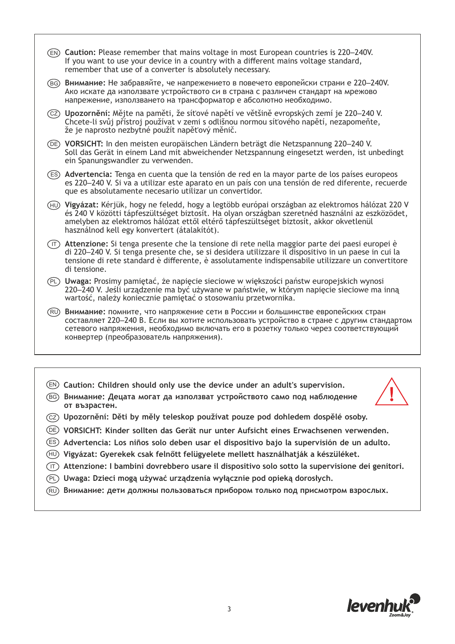- **Caution:** Please remember that mains voltage in most European countries is 220–240V. EN If you want to use your device in a country with a different mains voltage standard, remember that use of a converter is absolutely necessary. **Vigyázat:** Kérjük, hogy ne feledd, hogy a legtöbb európai országban az elektromos hálózat 220 V HU és 240 V közötti tápfeszültséget biztosít. Ha olyan országban szeretnéd használni az eszközödet, amelyben az elektromos hálózat ettől eltérő tápfeszültséget biztosít, akkor okvetlenül használnod kell egy konvertert (átalakítót). ́в⊙̀ Внимание: Не забравяйте, че напрежението в повечето европейски страни е 220–240V. Ако искате да използвате устройството си в страна с различен стандарт на мрежово напрежение, използването на трансформатор е абсолютно необходимо. **Upozornění:** Mějte na paměti, že síťové napětí ve většině evropských zemí je 220–240 V. CZ Chcete-li svůj přístroj používat v zemi s odlišnou normou síťového napětí, nezapomeňte, že je naprosto nezbytné použít napěťový měnič. **VORSICHT:** In den meisten europäischen Ländern beträgt die Netzspannung 220–240 V. DE Soll das Gerät in einem Land mit abweichender Netzspannung eingesetzt werden, ist unbedingt ein Spanungswandler zu verwenden. **Advertencia:** Tenga en cuenta que la tensión de red en la mayor parte de los países europeos ES es 220–240 V. Si va a utilizar este aparato en un país con una tensión de red diferente, recuerde que es absolutamente necesario utilizar un convertidor. **Attenzione:** Si tenga presente che la tensione di rete nella maggior parte dei paesi europei è IT di 220–240 V. Si tenga presente che, se si desidera utilizzare il dispositivo in un paese in cui la tensione di rete standard è differente, è assolutamente indispensabile utilizzare un convertitore di tensione. **Uwaga:** Prosimy pamiętać, że napięcie sieciowe w większości państw europejskich wynosi PL 220–240 V. Jeśli urządzenie ma być używane w państwie, w którym napięcie sieciowe ma inną wartość, należy koniecznie pamiętać o stosowaniu przetwornika. **Внимание:** помните, что напряжение сети в России и большинстве европейских стран RU составляет 220–240 В. Если вы хотите использовать устройство в стране с другим стандартом сетевого напряжения, необходимо включать его в розетку только через соответствующий конвертер (преобразователь напряжения).
- EN **Caution: Children should only use the device under an adult's supervision.**
- **Внимание: Децата могат да използват устройството само под наблюдение**  BG **от възрастен.**

![](_page_2_Picture_3.jpeg)

- CZ **Upozornění: Děti by měly teleskop používat pouze pod dohledem dospělé osoby.**
- DE **VORSICHT: Kinder sollten das Gerät nur unter Aufsicht eines Erwachsenen verwenden.**
- ES **Advertencia: Los niños solo deben usar el dispositivo bajo la supervisión de un adulto.**
- HU **Vigyázat: Gyerekek csak felnőtt felügyelete mellett használhatják a készüléket.**
- IT **Attenzione: I bambini dovrebbero usare il dispositivo solo sotto la supervisione dei genitori.**
- PL **Uwaga: Dzieci mogą używać urządzenia wyłącznie pod opieką dorosłych.**
- RU **Внимание: дети должны пользоваться прибором только под присмотром взрослых.**

![](_page_2_Picture_11.jpeg)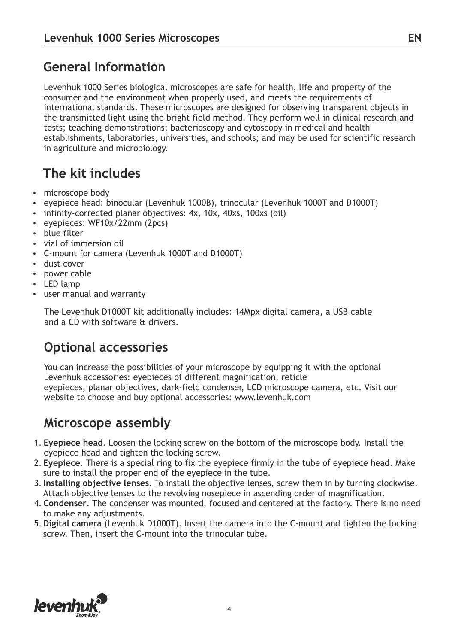#### **General Information**

Levenhuk 1000 Series biological microscopes are safe for health, life and property of the consumer and the environment when properly used, and meets the requirements of international standards. These microscopes are designed for observing transparent objects in the transmitted light using the bright field method. They perform well in clinical research and tests; teaching demonstrations; bacterioscopy and cytoscopy in medical and health establishments, laboratories, universities, and schools; and may be used for scientific research in agriculture and microbiology.

#### **The kit includes**

- microscope body
- eyepiece head: binocular (Levenhuk 1000B), trinocular (Levenhuk 1000T and D1000T)
- infinity-corrected planar objectives: 4x, 10x, 40xs, 100xs (oil)
- evepieces: WF10x/22mm (2pcs)
- blue filter
- vial of immersion oil
- џ C-mount for camera (Levenhuk 1000T and D1000T)
- dust cover
- power cable
- LED lamp
- user manual and warranty

The Levenhuk D1000T kit additionally includes: 14Mpx digital camera, a USB cable and a CD with software & drivers.

#### **Optional accessories**

You can increase the possibilities of your microscope by equipping it with the optional Levenhuk accessories: eyepieces of different magnification, reticle eyepieces, planar objectives, dark-field condenser, LCD microscope camera, etc. Visit our website to choose and buy optional accessories: www.levenhuk.com

#### **Microscope assembly**

- 1. **Eyepiece head**. Loosen the locking screw on the bottom of the microscope body. Install the eyepiece head and tighten the locking screw.
- 2. **Eyepiece**. There is a special ring to fix the eyepiece firmly in the tube of eyepiece head. Make sure to install the proper end of the eyepiece in the tube.
- 3. **Installing objective lenses**. To install the objective lenses, screw them in by turning clockwise. Attach objective lenses to the revolving nosepiece in ascending order of magnification.
- 4. **Condenser**. The condenser was mounted, focused and centered at the factory. There is no need to make any adjustments.
- 5. **Digital camera** (Levenhuk D1000T). Insert the camera into the C-mount and tighten the locking screw. Then, insert the C-mount into the trinocular tube.

![](_page_3_Picture_24.jpeg)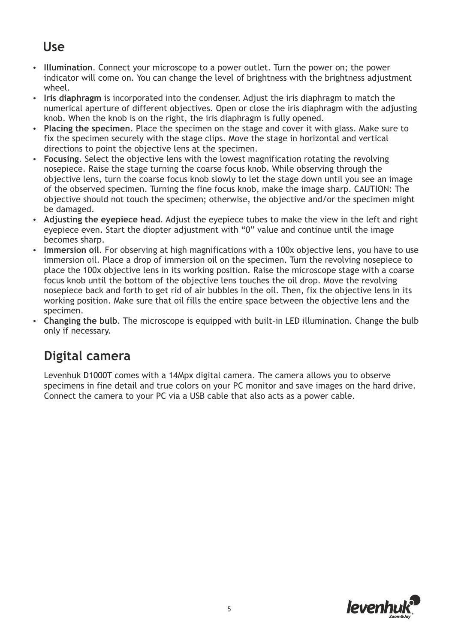#### **Use**

- џ **Illumination**. Connect your microscope to a power outlet. Turn the power on; the power indicator will come on. You can change the level of brightness with the brightness adjustment wheel.
- џ **Iris diaphragm** is incorporated into the condenser. Adjust the iris diaphragm to match the numerical aperture of different objectives. Open or close the iris diaphragm with the adjusting knob. When the knob is on the right, the iris diaphragm is fully opened.
- џ **Placing the specimen**. Place the specimen on the stage and cover it with glass. Make sure to fix the specimen securely with the stage clips. Move the stage in horizontal and vertical directions to point the objective lens at the specimen.
- џ **Focusing**. Select the objective lens with the lowest magnification rotating the revolving nosepiece. Raise the stage turning the coarse focus knob. While observing through the objective lens, turn the coarse focus knob slowly to let the stage down until you see an image of the observed specimen. Turning the fine focus knob, make the image sharp. CAUTION: The objective should not touch the specimen; otherwise, the objective and/or the specimen might be damaged.
- Adjusting the eyepiece head. Adjust the eyepiece tubes to make the view in the left and right eyepiece even. Start the diopter adjustment with "0" value and continue until the image becomes sharp.
- Immersion oil. For observing at high magnifications with a 100x objective lens, you have to use immersion oil. Place a drop of immersion oil on the specimen. Turn the revolving nosepiece to place the 100x objective lens in its working position. Raise the microscope stage with a coarse focus knob until the bottom of the objective lens touches the oil drop. Move the revolving nosepiece back and forth to get rid of air bubbles in the oil. Then, fix the objective lens in its working position. Make sure that oil fills the entire space between the objective lens and the specimen.
- Changing the bulb. The microscope is equipped with built-in LED illumination. Change the bulb only if necessary.

# **Digital camera**

Levenhuk D1000T comes with a 14Mpx digital camera. The camera allows you to observe specimens in fine detail and true colors on your PC monitor and save images on the hard drive. Connect the camera to your PC via a USB cable that also acts as a power cable.

![](_page_4_Picture_10.jpeg)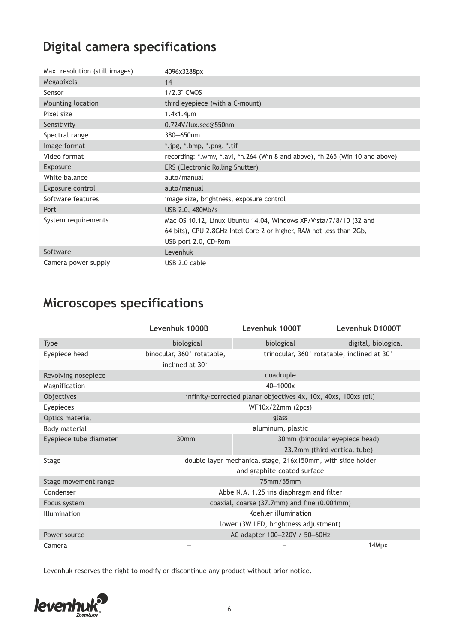# **Digital camera specifications**

| Max. resolution (still images) | 4096x3288px                                                                  |
|--------------------------------|------------------------------------------------------------------------------|
| Megapixels                     | 14                                                                           |
| Sensor                         | 1/2.3" CMOS                                                                  |
| Mounting location              | third eyepiece (with a C-mount)                                              |
| Pixel size                     | $1.4x1.4\mu m$                                                               |
| Sensitivity                    | 0.724V/lux.sec@550nm                                                         |
| Spectral range                 | 380-650nm                                                                    |
| Image format                   | *.jpg, *.bmp, *.png, *.tif                                                   |
| Video format                   | recording: *.wmv, *.avi, *h.264 (Win 8 and above), *h.265 (Win 10 and above) |
| Exposure                       | ERS (Electronic Rolling Shutter)                                             |
| White balance                  | auto/manual                                                                  |
| Exposure control               | auto/manual                                                                  |
| Software features              | image size, brightness, exposure control                                     |
| Port                           | USB 2.0, 480Mb/s                                                             |
| System requirements            | Mac OS 10.12, Linux Ubuntu 14.04, Windows XP/Vista/7/8/10 (32 and            |
|                                | 64 bits), CPU 2.8GHz Intel Core 2 or higher, RAM not less than 2Gb,          |
|                                | USB port 2.0, CD-Rom                                                         |
| Software                       | Levenhuk                                                                     |
| Camera power supply            | USB 2.0 cable                                                                |

# **Microscopes specifications**

|                        | Levenhuk 1000B                                              | Levenhuk 1000T                                                  | Levenhuk D1000T                             |
|------------------------|-------------------------------------------------------------|-----------------------------------------------------------------|---------------------------------------------|
| <b>Type</b>            | biological                                                  | biological                                                      | digital, biological                         |
| Eyepiece head          | binocular, 360° rotatable,<br>inclined at 30°               |                                                                 | trinocular, 360° rotatable, inclined at 30° |
| Revolving nosepiece    |                                                             | quadruple                                                       |                                             |
| Magnification          |                                                             | 40-1000x                                                        |                                             |
| Objectives             |                                                             | infinity-corrected planar objectives 4x, 10x, 40xs, 100xs (oil) |                                             |
| Eyepieces              |                                                             | WF10x/22mm (2pcs)                                               |                                             |
| Optics material        | glass                                                       |                                                                 |                                             |
| Body material          | aluminum, plastic                                           |                                                                 |                                             |
| Eyepiece tube diameter | 30mm                                                        |                                                                 | 30mm (binocular eyepiece head)              |
|                        |                                                             |                                                                 | 23.2mm (third vertical tube)                |
| Stage                  | double layer mechanical stage, 216x150mm, with slide holder |                                                                 |                                             |
|                        |                                                             | and graphite-coated surface                                     |                                             |
| Stage movement range   | 75mm/55mm                                                   |                                                                 |                                             |
| Condenser              | Abbe N.A. 1.25 iris diaphragm and filter                    |                                                                 |                                             |
| Focus system           | coaxial, coarse (37.7mm) and fine (0.001mm)                 |                                                                 |                                             |
| Illumination           | Koehler illumination                                        |                                                                 |                                             |
|                        |                                                             | lower (3W LED, brightness adjustment)                           |                                             |
| Power source           |                                                             | AC adapter 100-220V / 50-60Hz                                   |                                             |
| Camera                 |                                                             |                                                                 | 14Mpx                                       |

Levenhuk reserves the right to modify or discontinue any product without prior notice.

![](_page_5_Picture_5.jpeg)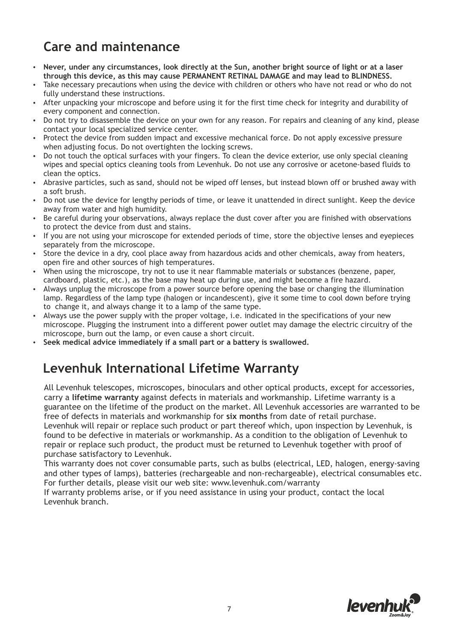### **Care and maintenance**

- џ **Never, under any circumstances, look directly at the Sun, another bright source of light or at a laser through this device, as this may cause PERMANENT RETINAL DAMAGE and may lead to BLINDNESS.**
- Take necessary precautions when using the device with children or others who have not read or who do not fully understand these instructions.
- After unpacking your microscope and before using it for the first time check for integrity and durability of every component and connection.
- Do not try to disassemble the device on your own for any reason. For repairs and cleaning of any kind, please contact your local specialized service center.
- Protect the device from sudden impact and excessive mechanical force. Do not apply excessive pressure when adjusting focus. Do not overtighten the locking screws.
- џ Do not touch the optical surfaces with your fingers. To clean the device exterior, use only special cleaning wipes and special optics cleaning tools from Levenhuk. Do not use any corrosive or acetone-based fluids to clean the optics.
- Abrasive particles, such as sand, should not be wiped off lenses, but instead blown off or brushed away with a soft brush.
- Do not use the device for lengthy periods of time, or leave it unattended in direct sunlight. Keep the device away from water and high humidity.
- Be careful during your observations, always replace the dust cover after you are finished with observations to protect the device from dust and stains.
- џ If you are not using your microscope for extended periods of time, store the objective lenses and eyepieces separately from the microscope.
- Store the device in a dry, cool place away from hazardous acids and other chemicals, away from heaters, open fire and other sources of high temperatures.
- When using the microscope, try not to use it near flammable materials or substances (benzene, paper, cardboard, plastic, etc.), as the base may heat up during use, and might become a fire hazard.
- Always unplug the microscope from a power source before opening the base or changing the illumination lamp. Regardless of the lamp type (halogen or incandescent), give it some time to cool down before trying to change it, and always change it to a lamp of the same type.
- Always use the power supply with the proper voltage, i.e. indicated in the specifications of your new microscope. Plugging the instrument into a different power outlet may damage the electric circuitry of the microscope, burn out the lamp, or even cause a short circuit.
- Seek medical advice immediately if a small part or a battery is swallowed.

#### **Levenhuk International Lifetime Warranty**

All Levenhuk telescopes, microscopes, binoculars and other optical products, except for accessories, carry a **lifetime warranty** against defects in materials and workmanship. Lifetime warranty is a guarantee on the lifetime of the product on the market. All Levenhuk accessories are warranted to be free of defects in materials and workmanship for **six months** from date of retail purchase.

Levenhuk will repair or replace such product or part thereof which, upon inspection by Levenhuk, is found to be defective in materials or workmanship. As a condition to the obligation of Levenhuk to repair or replace such product, the product must be returned to Levenhuk together with proof of purchase satisfactory to Levenhuk.

This warranty does not cover consumable parts, such as bulbs (electrical, LED, halogen, energy-saving and other types of lamps), batteries (rechargeable and non-rechargeable), electrical consumables etc. For further details, please visit our web site: www.levenhuk.com/warranty

If warranty problems arise, or if you need assistance in using your product, contact the local Levenhuk branch.

![](_page_6_Picture_21.jpeg)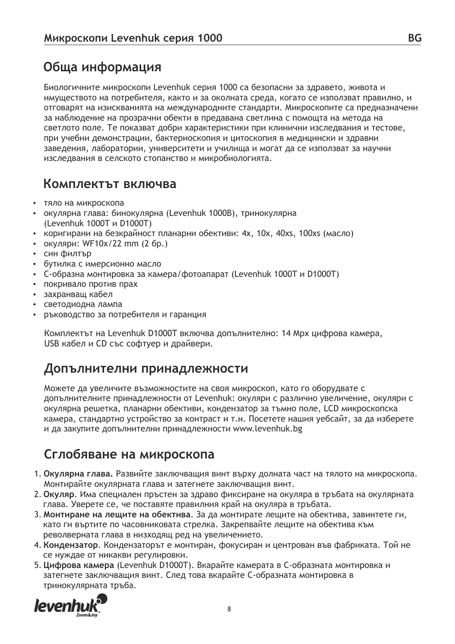#### **Обща информация**

Биологичните микроскопи Levenhuk серия 1000 са безопасни за здравето, живота и имуществото на потребителя, както и за околната среда, когато се използват правилно, и отговарят на изискванията на международните стандарти. Микроскопите са предназначени за наблюдение на прозрачни обекти в предавана светлина с помощта на метода на светлото поле. Те показват добри характеристики при клинични изследвания и тестове, при учебни демонстрации, бактериоскопия и цитоскопия в медицински и здравни заведения, лаборатории, университети и училища и могат да се използват за научни изследвания в селското стопанство и микробиологията.

#### **Комплектът включва**

- тяло на микроскопа
- џ окулярна глава: бинокулярна (Levenhuk 1000B), тринокулярна (Levenhuk 1000T и D1000T)
- коригирани на безкрайност планарни обективи: 4x, 10x, 40xs, 100xs (масло)
- џ окуляри: WF10x/22 mm (2 бр.)
- син филтър
- бутилка с имерсионно масло
- џ C-образна монтировка за камера/фотоапарат (Levenhuk 1000T и D1000T)
- покривало против прах
- захранващ кабел
- светодиодна лампа
- џ ръководство за потребителя и гаранция

Комплектът на Levenhuk D1000T включва допълнително: 14 Mpx цифрова камера, USB кабел и CD със софтуер и драйвери.

#### **Допълнителни принадлежности**

Можете да увеличите възможностите на своя микроскоп, като го оборудвате с допълнителните принадлежности от Levenhuk: окуляри с различно увеличение, окуляри с окулярна решетка, планарни обективи, кондензатор за тъмно поле, LCD микроскопска камера, стандартно устройство за контраст и т.н. Посетете нашия уебсайт, за да изберете и да закупите допълнителни принадлежности www.levenhuk.bg

#### **Сглобяване на микроскопа**

- 1. **Окулярна глава.** Развийте заключващия винт върху долната част на тялото на микроскопа. Монтирайте окулярната глава и затегнете заключващия винт.
- 2. **Окуляр**. Има специален пръстен за здраво фиксиране на окуляра в тръбата на окулярната глава. Уверете се, че поставяте правилния край на окуляра в тръбата.
- 3. **Монтиране на лещите на обектива**. За да монтирате лещите на обектива, завинтете ги, като ги въртите по часовниковата стрелка. Закрепвайте лещите на обектива към револверната глава в низходящ ред на увеличението.
- 4. **Кондензатор**. Кондензаторът е монтиран, фокусиран и центрован във фабриката. Той не се нуждае от никакви регулировки.
- 5. **Цифрова камера** (Levenhuk D1000T). Вкарайте камерата в C-образната монтировка и затегнете заключващия винт. След това вкарайте C-образната монтировка в тринокулярната тръба.

![](_page_7_Picture_24.jpeg)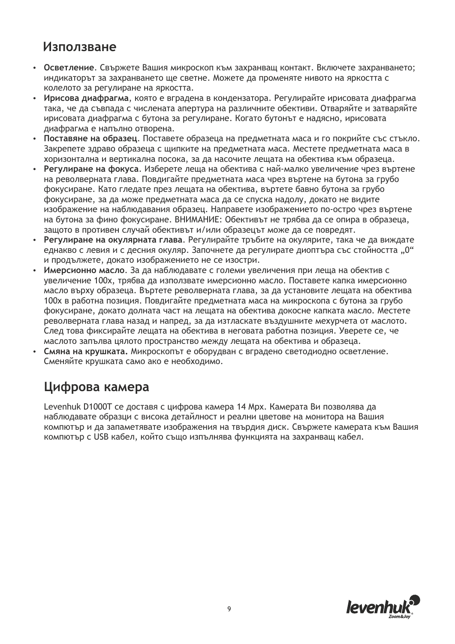#### **Използване**

- џ **Oсветление**. Свържете Вашия микроскоп към захранващ контакт. Включете захранването; индикаторът за захранването ще светне. Можете да променяте нивото на яркостта с колелото за регулиране на яркостта.
- џ **Ирисова диафрагма**, която е вградена в кондензатора. Регулирайте ирисовата диафрагма така, че да съвпада с числената апертура на различните обективи. Отваряйте и затваряйте ирисовата диафрагма с бутона за регулиране. Когато бутонът е надясно, ирисовата диафрагма е напълно отворена.
- џ **Поставяне на образец**. Поставете образеца на предметната маса и го покрийте със стъкло. Закрепете здраво образеца с щипките на предметната маса. Местете предметната маса в хоризонтална и вертикална посока, за да насочите лещата на обектива към образеца.
- џ **Регулиране на фокуса**. Изберете леща на обектива с най-малко увеличение чрез въртене на револверната глава. Повдигайте предметната маса чрез въртене на бутона за грубо фокусиране. Като гледате през лещата на обектива, въртете бавно бутона за грубо фокусиране, за да може предметната маса да се спуска надолу, докато не видите изображение на наблюдавания образец. Направете изображението по-остро чрез въртене на бутона за фино фокусиране. ВНИМАНИЕ: Обективът не трябва да се опира в образеца, защото в противен случай обективът и/или образецът може да се повредят.
- џ **Регулиране на окулярната глава**. Регулирайте тръбите на окулярите, така че да виждате еднакво с левия и с десния окуляр. Започнете да регулирате диоптъра със стойността "0" и продължете, докато изображението не се изостри.
- џ **Имерсионно масло**. За да наблюдавате с големи увеличения при леща на обектив с увеличение 100x, трябва да използвате имерсионно масло. Поставете капка имерсионно масло върху образеца. Въртете револверната глава, за да установите лещата на обектива 100x в работна позиция. Повдигайте предметната маса на микроскопа с бутона за грубо фокусиране, докато долната част на лещата на обектива докосне капката масло. Местете револверната глава назад и напред, за да изтласкате въздушните мехурчета от маслото. След това фиксирайте лещата на обектива в неговата работна позиция. Уверете се, че маслото запълва цялото пространство между лещата на обектива и образеца.
- џ **Смяна на крушката.** Микроскопът е оборудван с вградено светодиодно осветление. Сменяйте крушката само ако е необходимо.

#### **Цифрова камера**

Levenhuk D1000T се доставя с цифрова камера 14 Mpx. Камерата Ви позволява да наблюдавате образци с висока детайлност и реални цветове на монитора на Вашия компютър и да запаметявате изображения на твърдия диск. Свържете камерата към Вашия компютър с USB кабел, който също изпълнява функцията на захранващ кабел.

![](_page_8_Picture_10.jpeg)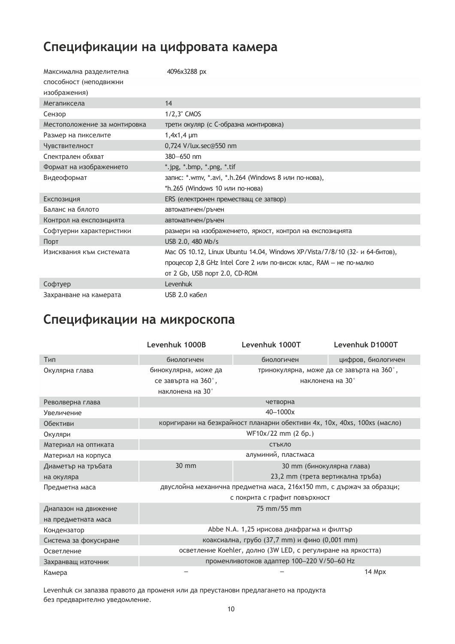# **Спецификации на цифровата камера**

| Максимална разделителна      | 4096x3288 px                                                                |
|------------------------------|-----------------------------------------------------------------------------|
| способност (неподвижни       |                                                                             |
| изображения)                 |                                                                             |
| Мегапиксела                  | 14                                                                          |
| Сензор                       | 1/2,3" CMOS                                                                 |
| Местоположение за монтировка | трети окуляр (с С-образна монтировка)                                       |
| Размер на пикселите          | $1,4x1,4 \mu m$                                                             |
| Чувствителност               | 0,724 V/lux.sec@550 nm                                                      |
| Спектрален обхват            | $380 - 650$ nm                                                              |
| Формат на изображението      | *.jpg, *.bmp, *.png, *.tif                                                  |
| Видеоформат                  | запис: *.wmv, *.avi, *.h.264 (Windows 8 или по-нова),                       |
|                              | *h.265 (Windows 10 или по-нова)                                             |
| Експозиция                   | ERS (електронен преместващ се затвор)                                       |
| Баланс на бялото             | автоматичен/ръчен                                                           |
| Контрол на експозицията      | автоматичен/ръчен                                                           |
| Софтуерни характеристики     | размери на изображението, яркост, контрол на експозицията                   |
| Порт                         | USB 2.0, 480 Mb/s                                                           |
| Изисквания към системата     | Mac OS 10.12, Linux Ubuntu 14.04, Windows XP/Vista/7/8/10 (32- и 64-битов), |
|                              | процесор 2,8 GHz Intel Core 2 или по-висок клас, RAM - не по-малко          |
|                              | от 2 Gb, USB порт 2.0, CD-ROM                                               |
| Софтуер                      | Levenhuk                                                                    |
| Захранване на камерата       | USB 2.0 кабел                                                               |

### **Спецификации на микроскопа**

|                       | Levenhuk 1000B                                                       | Levenhuk 1000T                                                           | Levenhuk D1000T                           |
|-----------------------|----------------------------------------------------------------------|--------------------------------------------------------------------------|-------------------------------------------|
| Тип                   | биологичен                                                           | биологичен                                                               | цифров, биологичен                        |
| Окулярна глава        | бинокулярна, може да                                                 |                                                                          | тринокулярна, може да се завърта на 360°, |
|                       | се завърта на 360°,<br>наклонена на 30°                              | наклонена на 30°                                                         |                                           |
| Револверна глава      |                                                                      | четворна                                                                 |                                           |
| Увеличение            |                                                                      | 40-1000x                                                                 |                                           |
| Обективи              |                                                                      | коригирани на безкрайност планарни обективи 4x, 10x, 40xs, 100xs (масло) |                                           |
| Окуляри               | WF10x/22 mm (2 6p.)                                                  |                                                                          |                                           |
| Материал на оптиката  | СТЪКЛО                                                               |                                                                          |                                           |
| Материал на корпуса   | алуминий, пластмаса                                                  |                                                                          |                                           |
| Диаметър на тръбата   | 30 mm<br>30 mm (бинокулярна глава)                                   |                                                                          |                                           |
| на окуляра            | 23,2 mm (трета вертикална тръба)                                     |                                                                          |                                           |
| Предметна маса        | двуслойна механична предметна маса, 216x150 mm, с държач за образци; |                                                                          |                                           |
|                       | с покрита с графит повърхност                                        |                                                                          |                                           |
| Диапазон на движение  | 75 mm/55 mm                                                          |                                                                          |                                           |
| на предметната маса   |                                                                      |                                                                          |                                           |
| Кондензатор           | Abbe N.A. 1,25 ирисова диафрагма и филтър                            |                                                                          |                                           |
| Система за фокусиране | коаксиална, грубо (37,7 mm) и фино (0,001 mm)                        |                                                                          |                                           |
| Осветление            | осветление Koehler, долно (3W LED, с регулиране на яркостта)         |                                                                          |                                           |
| Захранващ източник    | променливотоков адаптер 100-220 V/50-60 Hz                           |                                                                          |                                           |
| Камера                |                                                                      |                                                                          | 14 Mpx                                    |

Levenhuk си запазва правото да променя или да преустанови предлагането на продукта без предварително уведомление.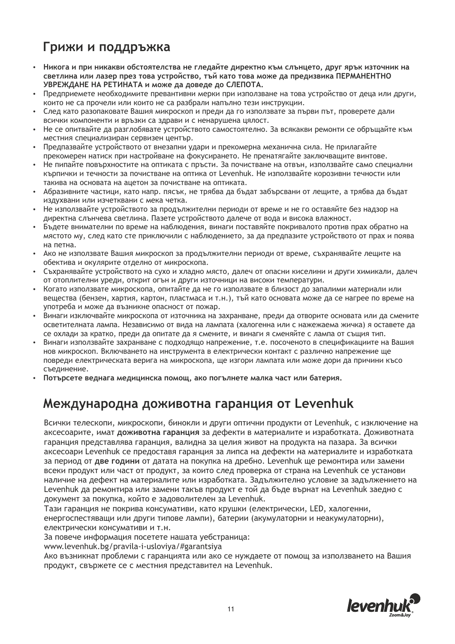## **Грижи и поддръжка**

- џ **Никога и при никакви обстоятелства не гледайте директно към слънцето, друг ярък източник на светлина или лазер през това устройство, тъй като това може да предизвика ПЕРМАНЕНТНО УВРЕЖДАНЕ НА РЕТИНАТА и може да доведе до СЛЕПОТА.**
- џ Предприемете необходимите превантивни мерки при използване на това устройство от деца или други, които не са прочели или които не са разбрали напълно тези инструкции.
- След като разопаковате Вашия микроскоп и преди да го използвате за първи път, проверете дали всички компоненти и връзки са здрави и с ненарушена цялост.
- Не се опитвайте да разглобявате устройството самостоятелно. За всякакви ремонти се обръщайте към местния специализиран сервизен център.
- Предпазвайте устройството от внезапни удари и прекомерна механична сила. Не прилагайте прекомерен натиск при настройване на фокусирането. Не пренатягайте заключващите винтове.
- Не пипайте повърхностите на оптиката с пръсти. За почистване на отвън, използвайте само специални кърпички и течности за почистване на оптика от Levenhuk. Не използвайте корозивни течности или такива на основата на ацетон за почистване на оптиката.
- Абразивните частици, като напр. пясък, не трябва да бъдат забърсвани от лещите, а трябва да бъдат издухвани или изчетквани с мека четка.
- Не използвайте устройството за продължителни периоди от време и не го оставяйте без надзор на директна слънчева светлина. Пазете устройството далече от вода и висока влажност.
- Бъдете внимателни по време на наблюдения, винаги поставяйте покривалото против прах обратно на мястото му, след като сте приключили с наблюдението, за да предпазите устройството от прах и поява на петна.
- Ако не използвате Вашия микроскоп за продължителни периоди от време, съхранявайте лещите на обектива и окулярите отделно от микроскопа.
- Съхранявайте устройството на сухо и хладно място, далеч от опасни киселини и други химикали, далеч от отоплителни уреди, открит огън и други източници на високи температури.
- џ Когато използвате микроскопа, опитайте да не го използвате в близост до запалими материали или вещества (бензен, хартия, картон, пластмаса и т.н.), тъй като основата може да се нагрее по време на употреба и може да възникне опасност от пожар.
- Винаги изключвайте микроскопа от източника на захранване, преди да отворите основата или да смените осветителната лампа. Независимо от вида на лампата (халогенна или с нажежаема жичка) я оставете да се охлади за кратко, преди да опитате да я смените, и винаги я сменяйте с лампа от същия тип.
- џ Винаги използвайте захранване с подходящо напрежение, т.е. посоченото в спецификациите на Вашия нов микроскоп. Включването на инструмента в електрически контакт с различно напрежение ще повреди електрическата верига на микроскопа, ще изгори лампата или може дори да причини късо съединение.
- џ **Потърсете веднага медицинска помощ, ако погълнете малка част или батерия.**

#### **Международна доживотна гаранция от Levenhuk**

Всички телескопи, микроскопи, бинокли и други оптични продукти от Levenhuk, с изключение на аксесоарите, имат **доживотна гаранция** за дефекти в материалите и изработката. Доживотната гаранция представлява гаранция, валидна за целия живот на продукта на пазара. За всички аксесоари Levenhuk се предоставя гаранция за липса на дефекти на материалите и изработката за период от **две години** от датата на покупка на дребно. Levenhuk ще ремонтира или замени всеки продукт или част от продукт, за които след проверка от страна на Levenhuk се установи наличие на дефект на материалите или изработката. Задължително условие за задължението на Levenhuk да ремонтира или замени такъв продукт е той да бъде върнат на Levenhuk заедно с документ за покупка, който е задоволителен за Levenhuk.

Тази гаранция не покрива консумативи, като крушки (електрически, LED, халогенни, енергоспестяващи или други типове лампи), батерии (акумулаторни и неакумулаторни), електрически консумативи и т.н.

За повече информация посетете нашата уебстраница:

www.levenhuk.bg/pravila-i-usloviya/#garantsiya

Ако възникнат проблеми с гаранцията или ако се нуждаете от помощ за използването на Вашия продукт, свържете се с местния представител на Levenhuk.

![](_page_10_Picture_22.jpeg)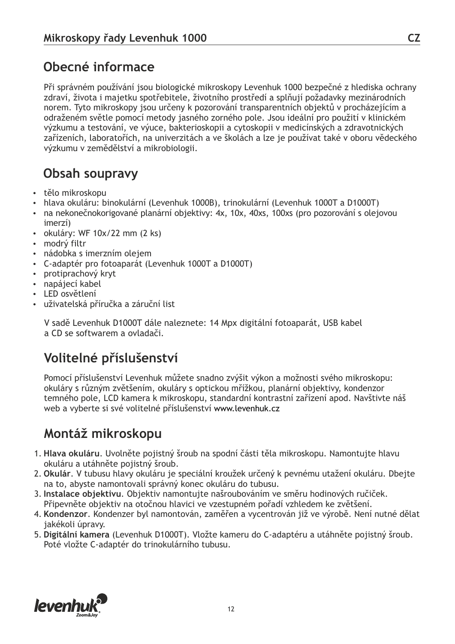#### **Obecné informace**

Při správném používání jsou biologické mikroskopy Levenhuk 1000 bezpečné z hlediska ochrany zdraví, života i majetku spotřebitele, životního prostředí a splňují požadavky mezinárodních norem. Tyto mikroskopy jsou určeny k pozorování transparentních objektů v procházejícím a odraženém světle pomocí metody jasného zorného pole. Jsou ideální pro použití v klinickém výzkumu a testování, ve výuce, bakterioskopii a cytoskopii v medicínských a zdravotnických zařízeních, laboratořích, na univerzitách a ve školách a lze je používat také v oboru vědeckého výzkumu v zemědělství a mikrobiologii.

#### **Obsah soupravy**

- tělo mikroskopu
- џ hlava okuláru: binokulární (Levenhuk 1000B), trinokulární (Levenhuk 1000T a D1000T)
- na nekonečnokorigované planární objektivy: 4x, 10x, 40xs, 100xs (pro pozorování s olejovou imerzí)
- $\cdot$  okuláry: WF 10x/22 mm (2 ks)
- modrý filtr
- nádobka s imerzním olejem
- џ C-adaptér pro fotoaparát (Levenhuk 1000T a D1000T)
- protiprachový kryt
- napájecí kabel
- LED osvětlení
- uživatelská příručka a záruční list

V sadě Levenhuk D1000T dále naleznete: 14 Mpx digitální fotoaparát, USB kabel a CD se softwarem a ovladači.

# **Volitelné příslušenství**

Pomocí příslušenství Levenhuk můžete snadno zvýšit výkon a možnosti svého mikroskopu: okuláry s různým zvětšením, okuláry s optickou mřížkou, planární objektivy, kondenzor temného pole, LCD kamera k mikroskopu, standardní kontrastní zařízení apod. Navštivte náš web a vyberte si své volitelné příslušenství www.levenhuk.cz

#### **Montáž mikroskopu**

- 1. **Hlava okuláru**. Uvolněte pojistný šroub na spodní části těla mikroskopu. Namontujte hlavu okuláru a utáhněte pojistný šroub.
- 2. **Okulár**. V tubusu hlavy okuláru je speciální kroužek určený k pevnému utažení okuláru. Dbejte na to, abyste namontovali správný konec okuláru do tubusu.
- 3. **Instalace objektivu**. Objektiv namontujte našroubováním ve směru hodinových ručiček. Připevněte objektiv na otočnou hlavici ve vzestupném pořadí vzhledem ke zvětšení.
- 4. **Kondenzor**. Kondenzer byl namontován, zaměřen a vycentrován již ve výrobě. Není nutné dělat jakékoli úpravy.
- 5. **Digitální kamera** (Levenhuk D1000T). Vložte kameru do C-adaptéru a utáhněte pojistný šroub. Poté vložte C-adaptér do trinokulárního tubusu.

![](_page_11_Picture_24.jpeg)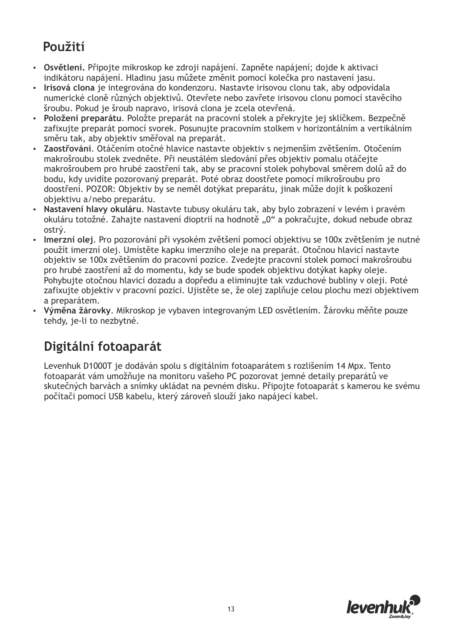### **Použití**

- џ **Osvětlení.** Připojte mikroskop ke zdroji napájení. Zapněte napájení; dojde k aktivaci indikátoru napájení. Hladinu jasu můžete změnit pomocí kolečka pro nastavení jasu.
- џ **Irisová clona** je integrována do kondenzoru. Nastavte irisovou clonu tak, aby odpovídala numerické cloně různých objektivů. Otevřete nebo zavřete irisovou clonu pomocí stavěcího šroubu. Pokud je šroub napravo, irisová clona je zcela otevřená.
- џ **Položení preparátu**. Položte preparát na pracovní stolek a překryjte jej sklíčkem. Bezpečně zafixujte preparát pomocí svorek. Posunujte pracovním stolkem v horizontálním a vertikálním směru tak, aby objektiv směřoval na preparát.
- џ **Zaostřování**. Otáčením otočné hlavice nastavte objektiv s nejmenším zvětšením. Otočením makrošroubu stolek zvedněte. Při neustálém sledování přes objektiv pomalu otáčejte makrošroubem pro hrubé zaostření tak, aby se pracovní stolek pohyboval směrem dolů až do bodu, kdy uvidíte pozorovaný preparát. Poté obraz doostřete pomocí mikrošroubu pro doostření. POZOR: Objektiv by se neměl dotýkat preparátu, jinak může dojít k poškození objektivu a/nebo preparátu.
- џ **Nastavení hlavy okuláru**. Nastavte tubusy okuláru tak, aby bylo zobrazení v levém i pravém okuláru totožné. Zahajte nastavení dioptrií na hodnotě "0" a pokračujte, dokud nebude obraz ostrý.
- џ **Imerzní olej**. Pro pozorování při vysokém zvětšení pomocí objektivu se 100x zvětšením je nutné použít imerzní olej. Umístěte kapku imerzního oleje na preparát. Otočnou hlavicí nastavte objektiv se 100x zvětšením do pracovní pozice. Zvedejte pracovní stolek pomocí makrošroubu pro hrubé zaostření až do momentu, kdy se bude spodek objektivu dotýkat kapky oleje. Pohybujte otočnou hlavicí dozadu a dopředu a eliminujte tak vzduchové bubliny v oleji. Poté zafixujte objektiv v pracovní pozici. Ujistěte se, že olej zaplňuje celou plochu mezi objektivem a preparátem.
- џ **Výměna žárovky**. Mikroskop je vybaven integrovaným LED osvětlením. Žárovku měňte pouze tehdy, je-li to nezbytné.

# **Digitální fotoaparát**

Levenhuk D1000T je dodáván spolu s digitálním fotoaparátem s rozlišením 14 Mpx. Tento fotoaparát vám umožňuje na monitoru vašeho PC pozorovat jemné detaily preparátů ve skutečných barvách a snímky ukládat na pevném disku. Připojte fotoaparát s kamerou ke svému počítači pomocí USB kabelu, který zároveň slouží jako napájecí kabel.

![](_page_12_Picture_10.jpeg)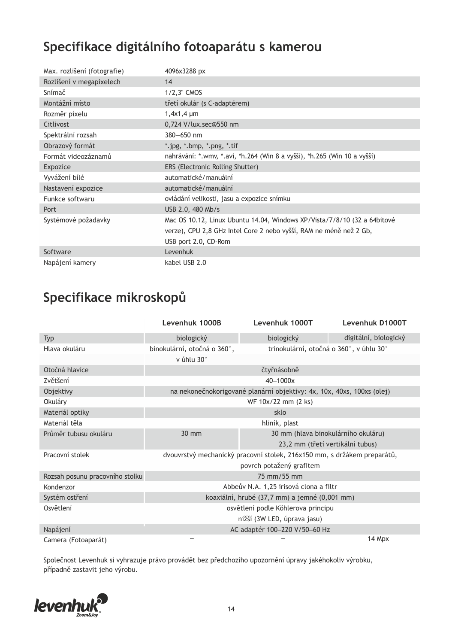# **Specifikace digitálního fotoaparátu s kamerou**

| Max. rozlišení (fotografie) | 4096x3288 px                                                             |
|-----------------------------|--------------------------------------------------------------------------|
| Rozlišení v megapixelech    | 14                                                                       |
| Snímač                      | 1/2,3" CMOS                                                              |
| Montážní místo              | třetí okulár (s C-adaptérem)                                             |
| Rozměr pixelu               | $1,4x1,4 \mu m$                                                          |
| Citlivost                   | 0,724 V/lux.sec@550 nm                                                   |
| Spektrální rozsah           | $380 - 650$ nm                                                           |
| Obrazový formát             | *.jpg, *.bmp, *.png, *.tif                                               |
| Formát videozáznamů         | nahrávání: *.wmv, *.avi, *h.264 (Win 8 a vyšší), *h.265 (Win 10 a vyšší) |
| Expozice                    | ERS (Electronic Rolling Shutter)                                         |
| Vyvážení bílé               | automatické/manuální                                                     |
| Nastavení expozice          | automatické/manuální                                                     |
| Funkce softwaru             | ovládání velikosti, jasu a expozice snímku                               |
| Port                        | USB 2.0, 480 Mb/s                                                        |
| Systémové požadavky         | Mac OS 10.12, Linux Ubuntu 14.04, Windows XP/Vista/7/8/10 (32 a 64bitové |
|                             | verze), CPU 2,8 GHz Intel Core 2 nebo vyšší, RAM ne méně než 2 Gb,       |
|                             | USB port 2.0, CD-Rom                                                     |
| Software                    | Levenhuk                                                                 |
| Napájení kamery             | kabel USB 2.0                                                            |

# **Specifikace mikroskopů**

|                                 | Levenhuk 1000B                                                          | Levenhuk 1000T                                                         | Levenhuk D1000T                         |
|---------------------------------|-------------------------------------------------------------------------|------------------------------------------------------------------------|-----------------------------------------|
| <b>Typ</b>                      | biologický                                                              | biologický                                                             | digitální, biologický                   |
| Hlava okuláru                   | binokulární, otočná o 360°,                                             |                                                                        | trinokulární, otočná o 360°, v úhlu 30° |
|                                 | v úhlu 30°                                                              |                                                                        |                                         |
| Otočná hlavice                  |                                                                         | čtyřnásobně                                                            |                                         |
| Zvětšení                        |                                                                         | 40-1000x                                                               |                                         |
| Objektivy                       |                                                                         | na nekonečnokorigované planární objektivy: 4x, 10x, 40xs, 100xs (olej) |                                         |
| Okuláry                         |                                                                         | WF 10x/22 mm (2 ks)                                                    |                                         |
| Materiál optiky                 |                                                                         | sklo                                                                   |                                         |
| Materiál těla                   | hliník, plast                                                           |                                                                        |                                         |
| Průměr tubusu okuláru           | 30 mm                                                                   |                                                                        | 30 mm (hlava binokulárního okuláru)     |
|                                 |                                                                         |                                                                        | 23,2 mm (třetí vertikální tubus)        |
| Pracovní stolek                 | dvouvrstvý mechanický pracovní stolek, 216x150 mm, s držákem preparátů, |                                                                        |                                         |
|                                 |                                                                         | povrch potažený grafitem                                               |                                         |
| Rozsah posunu pracovního stolku | 75 mm/55 mm                                                             |                                                                        |                                         |
| Kondenzor                       | Abbeův N.A. 1,25 irisová clona a filtr                                  |                                                                        |                                         |
| Systém ostření                  | koaxiální, hrubé (37,7 mm) a jemné (0,001 mm)                           |                                                                        |                                         |
| Osvětlení                       |                                                                         | osvětlení podle Köhlerova principu                                     |                                         |
|                                 |                                                                         | nižší (3W LED, úprava jasu)                                            |                                         |
| Napájení                        |                                                                         | AC adaptér 100-220 V/50-60 Hz                                          |                                         |
| Camera (Fotoaparát)             |                                                                         |                                                                        | 14 Mpx                                  |

Společnost Levenhuk si vyhrazuje právo provádět bez předchozího upozornění úpravy jakéhokoliv výrobku, případně zastavit jeho výrobu.

![](_page_13_Picture_5.jpeg)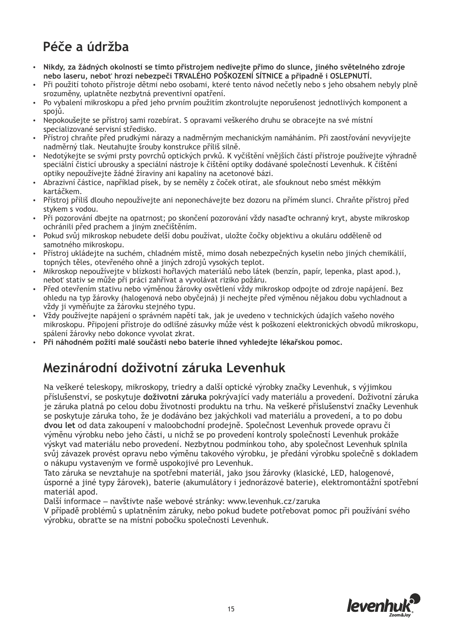# **Péče a údržba**

- џ **Nikdy, za žádných okolností se tímto přístrojem nedívejte přímo do slunce, jiného světelného zdroje nebo laseru, neboť hrozí nebezpečí TRVALÉHO POŠKOZENÍ SÍTNICE a případně i OSLEPNUTÍ.**
- џ Při použití tohoto přístroje dětmi nebo osobami, které tento návod nečetly nebo s jeho obsahem nebyly plně srozuměny, uplatněte nezbytná preventivní opatření.
- Po vybalení mikroskopu a před jeho prvním použitím zkontrolujte neporušenost jednotlivých komponent a spojů.
- џ Nepokoušejte se přístroj sami rozebírat. S opravami veškerého druhu se obracejte na své místní specializované servisní středisko.
- Přístroj chraňte před prudkými nárazy a nadměrným mechanickým namáháním. Při zaostřování nevyvíjejte nadměrný tlak. Neutahujte šrouby konstrukce příliš silně.
- џ Nedotýkejte se svými prsty povrchů optických prvků. K vyčištění vnějších částí přístroje používejte výhradně speciální čisticí ubrousky a speciální nástroje k čištění optiky dodávané společností Levenhuk. K čištění optiky nepoužívejte žádné žíraviny ani kapaliny na acetonové bázi.
- џ Abrazivní částice, například písek, by se neměly z čoček otírat, ale sfouknout nebo smést měkkým kartáčkem.
- џ Přístroj příliš dlouho nepoužívejte ani neponechávejte bez dozoru na přímém slunci. Chraňte přístroj před stykem s vodou.
- Při pozorování dbejte na opatrnost; po skončení pozorování vždy nasaďte ochranný kryt, abyste mikroskop ochránili před prachem a jiným znečištěním.
- џ Pokud svůj mikroskop nebudete delší dobu používat, uložte čočky objektivu a okuláru odděleně od samotného mikroskopu.
- џ Přístroj ukládejte na suchém, chladném místě, mimo dosah nebezpečných kyselin nebo jiných chemikálií, topných těles, otevřeného ohně a jiných zdrojů vysokých teplot.
- Mikroskop nepoužívejte v blízkosti hořlavých materiálů nebo látek (benzín, papír, lepenka, plast apod.), neboť stativ se může při práci zahřívat a vyvolávat riziko požáru.
- Před otevřením stativu nebo výměnou žárovky osvětlení vždy mikroskop odpojte od zdroje napájení. Bez ohledu na typ žárovky (halogenová nebo obyčejná) ji nechejte před výměnou nějakou dobu vychladnout a vždy ji vyměňujte za žárovku stejného typu.
- џ Vždy používejte napájení o správném napětí tak, jak je uvedeno v technických údajích vašeho nového mikroskopu. Připojení přístroje do odlišné zásuvky může vést k poškození elektronických obvodů mikroskopu, spálení žárovky nebo dokonce vyvolat zkrat.
- џ **Při náhodném požití malé součásti nebo baterie ihned vyhledejte lékařskou pomoc.**

#### **Mezinárodní doživotní záruka Levenhuk**

Na veškeré teleskopy, mikroskopy, triedry a další optické výrobky značky Levenhuk, s výjimkou příslušenství, se poskytuje **doživotní záruka** pokrývající vady materiálu a provedení. Doživotní záruka je záruka platná po celou dobu životnosti produktu na trhu. Na veškeré příslušenství značky Levenhuk se poskytuje záruka toho, že je dodáváno bez jakýchkoli vad materiálu a provedení, a to po dobu **dvou let** od data zakoupení v maloobchodní prodejně. Společnost Levenhuk provede opravu či výměnu výrobku nebo jeho části, u nichž se po provedení kontroly společností Levenhuk prokáže výskyt vad materiálu nebo provedení. Nezbytnou podmínkou toho, aby společnost Levenhuk splnila svůj závazek provést opravu nebo výměnu takového výrobku, je předání výrobku společně s dokladem o nákupu vystaveným ve formě uspokojivé pro Levenhuk.

Tato záruka se nevztahuje na spotřební materiál, jako jsou žárovky (klasické, LED, halogenové, úsporné a jiné typy žárovek), baterie (akumulátory i jednorázové baterie), elektromontážní spotřební materiál apod.

Další informace – navštivte naše webové stránky: www.levenhuk.cz/zaruka

V případě problémů s uplatněním záruky, nebo pokud budete potřebovat pomoc při používání svého výrobku, obraťte se na místní pobočku společnosti Levenhuk.

![](_page_14_Picture_21.jpeg)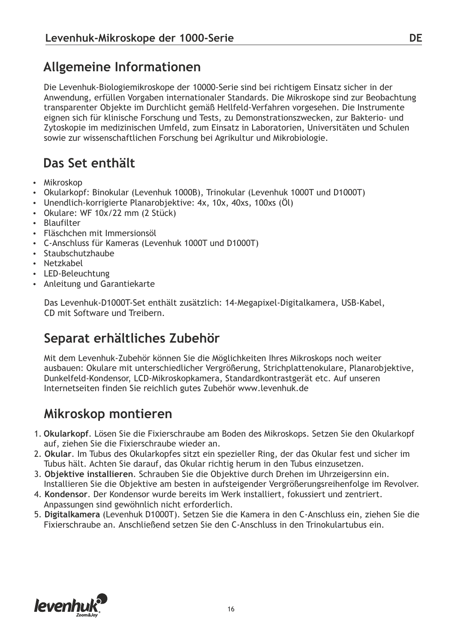#### **Allgemeine Informationen**

Die Levenhuk-Biologiemikroskope der 10000-Serie sind bei richtigem Einsatz sicher in der Anwendung, erfüllen Vorgaben internationaler Standards. Die Mikroskope sind zur Beobachtung transparenter Objekte im Durchlicht gemäß Hellfeld-Verfahren vorgesehen. Die Instrumente eignen sich für klinische Forschung und Tests, zu Demonstrationszwecken, zur Bakterio- und Zytoskopie im medizinischen Umfeld, zum Einsatz in Laboratorien, Universitäten und Schulen sowie zur wissenschaftlichen Forschung bei Agrikultur und Mikrobiologie.

#### **Das Set enthält**

- Mikroskop
- Okularkopf: Binokular (Levenhuk 1000B), Trinokular (Levenhuk 1000T und D1000T)
- Unendlich-korrigierte Planarobjektive: 4x, 10x, 40xs, 100xs (Öl)
- Okulare: WF 10x/22 mm (2 Stück)
- Blaufilter
- Fläschchen mit Immersionsöl
- џ C-Anschluss für Kameras (Levenhuk 1000T und D1000T)
- Staubschutzhaube
- Netzkabel
- LED-Beleuchtung
- Anleitung und Garantiekarte

Das Levenhuk-D1000T-Set enthält zusätzlich: 14-Megapixel-Digitalkamera, USB-Kabel, CD mit Software und Treibern.

#### **Separat erhältliches Zubehör**

Mit dem Levenhuk-Zubehör können Sie die Möglichkeiten Ihres Mikroskops noch weiter ausbauen: Okulare mit unterschiedlicher Vergrößerung, Strichplattenokulare, Planarobjektive, Dunkelfeld-Kondensor, LCD-Mikroskopkamera, Standardkontrastgerät etc. Auf unseren Internetseiten finden Sie reichlich gutes Zubehör www.levenhuk.de

#### **Mikroskop montieren**

- 1. **Okularkopf**. Lösen Sie die Fixierschraube am Boden des Mikroskops. Setzen Sie den Okularkopf auf, ziehen Sie die Fixierschraube wieder an.
- 2. **Okular**. Im Tubus des Okularkopfes sitzt ein spezieller Ring, der das Okular fest und sicher im Tubus hält. Achten Sie darauf, das Okular richtig herum in den Tubus einzusetzen.
- 3. **Objektive installieren**. Schrauben Sie die Objektive durch Drehen im Uhrzeigersinn ein. Installieren Sie die Objektive am besten in aufsteigender Vergrößerungsreihenfolge im Revolver.
- 4. **Kondensor**. Der Kondensor wurde bereits im Werk installiert, fokussiert und zentriert. Anpassungen sind gewöhnlich nicht erforderlich.
- 5. **Digitalkamera** (Levenhuk D1000T). Setzen Sie die Kamera in den C-Anschluss ein, ziehen Sie die Fixierschraube an. Anschließend setzen Sie den C-Anschluss in den Trinokulartubus ein.

![](_page_15_Picture_24.jpeg)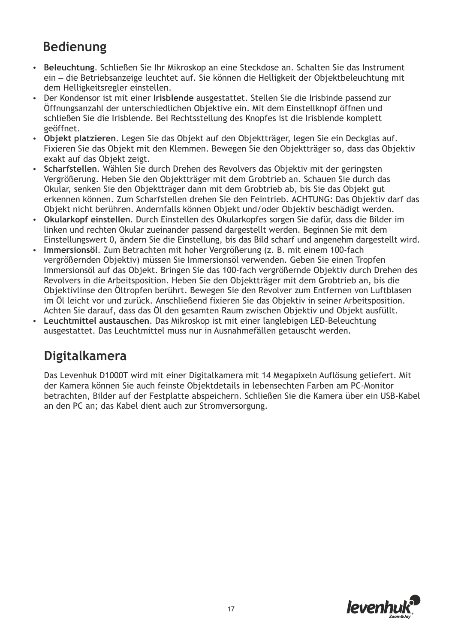#### **Bedienung**

- џ **Beleuchtung**. Schließen Sie Ihr Mikroskop an eine Steckdose an. Schalten Sie das Instrument ein – die Betriebsanzeige leuchtet auf. Sie können die Helligkeit der Objektbeleuchtung mit dem Helligkeitsregler einstellen.
- џ Der Kondensor ist mit einer **Irisblende** ausgestattet. Stellen Sie die Irisbinde passend zur Öffnungsanzahl der unterschiedlichen Objektive ein. Mit dem Einstellknopf öffnen und schließen Sie die Irisblende. Bei Rechtsstellung des Knopfes ist die Irisblende komplett geöffnet.
- џ **Objekt platzieren**. Legen Sie das Objekt auf den Objektträger, legen Sie ein Deckglas auf. Fixieren Sie das Objekt mit den Klemmen. Bewegen Sie den Objektträger so, dass das Objektiv exakt auf das Objekt zeigt.
- џ **Scharfstellen**. Wählen Sie durch Drehen des Revolvers das Objektiv mit der geringsten Vergrößerung. Heben Sie den Objektträger mit dem Grobtrieb an. Schauen Sie durch das Okular, senken Sie den Objektträger dann mit dem Grobtrieb ab, bis Sie das Objekt gut erkennen können. Zum Scharfstellen drehen Sie den Feintrieb. ACHTUNG: Das Objektiv darf das Objekt nicht berühren. Andernfalls können Objekt und/oder Objektiv beschädigt werden.
- џ **Okularkopf einstellen**. Durch Einstellen des Okularkopfes sorgen Sie dafür, dass die Bilder im linken und rechten Okular zueinander passend dargestellt werden. Beginnen Sie mit dem Einstellungswert 0, ändern Sie die Einstellung, bis das Bild scharf und angenehm dargestellt wird.
- џ **Immersionsöl**. Zum Betrachten mit hoher Vergrößerung (z. B. mit einem 100-fach vergrößernden Objektiv) müssen Sie Immersionsöl verwenden. Geben Sie einen Tropfen Immersionsöl auf das Objekt. Bringen Sie das 100-fach vergrößernde Objektiv durch Drehen des Revolvers in die Arbeitsposition. Heben Sie den Objektträger mit dem Grobtrieb an, bis die Objektivlinse den Öltropfen berührt. Bewegen Sie den Revolver zum Entfernen von Luftblasen im Öl leicht vor und zurück. Anschließend fixieren Sie das Objektiv in seiner Arbeitsposition. Achten Sie darauf, dass das Öl den gesamten Raum zwischen Objektiv und Objekt ausfüllt.
- џ **Leuchtmittel austauschen**. Das Mikroskop ist mit einer langlebigen LED-Beleuchtung ausgestattet. Das Leuchtmittel muss nur in Ausnahmefällen getauscht werden.

#### **Digitalkamera**

Das Levenhuk D1000T wird mit einer Digitalkamera mit 14 Megapixeln Auflösung geliefert. Mit der Kamera können Sie auch feinste Objektdetails in lebensechten Farben am PC-Monitor betrachten, Bilder auf der Festplatte abspeichern. Schließen Sie die Kamera über ein USB-Kabel an den PC an; das Kabel dient auch zur Stromversorgung.

![](_page_16_Picture_10.jpeg)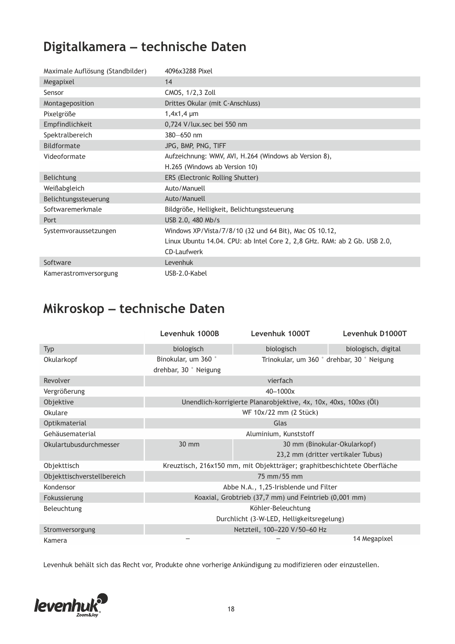# **Digitalkamera – technische Daten**

| Maximale Auflösung (Standbilder) | 4096x3288 Pixel                                                           |
|----------------------------------|---------------------------------------------------------------------------|
| Megapixel                        | 14                                                                        |
| Sensor                           | CMOS, 1/2,3 Zoll                                                          |
| Montageposition                  | Drittes Okular (mit C-Anschluss)                                          |
| Pixelgröße                       | $1,4x1,4 \mu m$                                                           |
| Empfindlichkeit                  | 0,724 V/lux.sec bei 550 nm                                                |
| Spektralbereich                  | 380-650 nm                                                                |
| Bildformate                      | JPG, BMP, PNG, TIFF                                                       |
| Videoformate                     | Aufzeichnung: WMV, AVI, H.264 (Windows ab Version 8),                     |
|                                  | H.265 (Windows ab Version 10)                                             |
| <b>Belichtung</b>                | ERS (Electronic Rolling Shutter)                                          |
| Weißabgleich                     | Auto/Manuell                                                              |
| Belichtungssteuerung             | Auto/Manuell                                                              |
| Softwaremerkmale                 | Bildgröße, Helligkeit, Belichtungssteuerung                               |
| Port                             | USB 2.0, 480 Mb/s                                                         |
| Systemvoraussetzungen            | Windows XP/Vista/7/8/10 (32 und 64 Bit), Mac OS 10.12,                    |
|                                  | Linux Ubuntu 14.04. CPU: ab Intel Core 2, 2,8 GHz. RAM: ab 2 Gb. USB 2.0, |
|                                  | CD-Laufwerk                                                               |
| Software                         | Levenhuk                                                                  |
| Kamerastromversorgung            | USB-2.0-Kabel                                                             |

### **Mikroskop – technische Daten**

|                            | Levenhuk 1000B                                                           | Levenhuk 1000T                                                   | Levenhuk D1000T                            |
|----------------------------|--------------------------------------------------------------------------|------------------------------------------------------------------|--------------------------------------------|
| <b>Typ</b>                 | biologisch                                                               | biologisch                                                       | biologisch, digital                        |
| Okularkopf                 | Binokular, um 360 °                                                      |                                                                  | Trinokular, um 360 ° drehbar, 30 ° Neigung |
|                            | drehbar, 30 ° Neigung                                                    |                                                                  |                                            |
| Revolver                   |                                                                          | vierfach                                                         |                                            |
| Vergrößerung               |                                                                          | 40-1000x                                                         |                                            |
| Objektive                  |                                                                          | Unendlich-korrigierte Planarobjektive, 4x, 10x, 40xs, 100xs (Öl) |                                            |
| Okulare                    |                                                                          | WF 10x/22 mm (2 Stück)                                           |                                            |
| Optikmaterial              | Glas                                                                     |                                                                  |                                            |
| Gehäusematerial            | Aluminium, Kunststoff                                                    |                                                                  |                                            |
| Okulartubusdurchmesser     | 30 mm                                                                    |                                                                  | 30 mm (Binokular-Okularkopf)               |
|                            |                                                                          |                                                                  | 23,2 mm (dritter vertikaler Tubus)         |
| Objekttisch                | Kreuztisch, 216x150 mm, mit Objektträger; graphitbeschichtete Oberfläche |                                                                  |                                            |
| Objekttischverstellbereich | 75 mm/55 mm                                                              |                                                                  |                                            |
| Kondensor                  | Abbe N.A., 1,25-Irisblende und Filter                                    |                                                                  |                                            |
| Fokussierung               | Koaxial, Grobtrieb (37,7 mm) und Feintrieb (0,001 mm)                    |                                                                  |                                            |
| Beleuchtung                | Köhler-Beleuchtung                                                       |                                                                  |                                            |
|                            |                                                                          | Durchlicht (3-W-LED, Helligkeitsregelung)                        |                                            |
| Stromversorgung            | Netzteil, 100-220 V/50-60 Hz                                             |                                                                  |                                            |
| Kamera                     |                                                                          |                                                                  | 14 Megapixel                               |

Levenhuk behält sich das Recht vor, Produkte ohne vorherige Ankündigung zu modifizieren oder einzustellen.

![](_page_17_Picture_5.jpeg)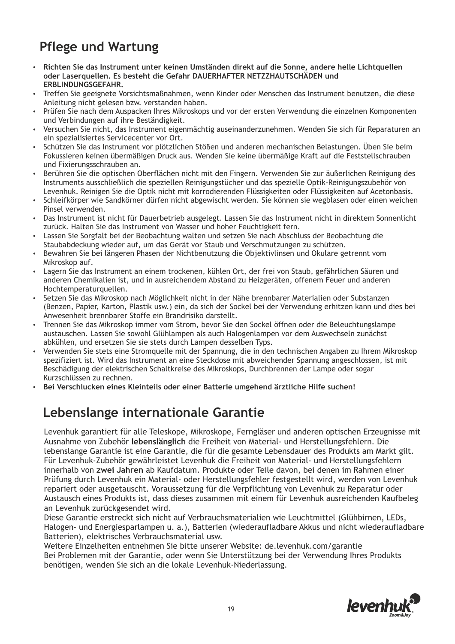# **Pflege und Wartung**

- џ **Richten Sie das Instrument unter keinen Umständen direkt auf die Sonne, andere helle Lichtquellen oder Laserquellen. Es besteht die Gefahr DAUERHAFTER NETZZHAUTSCHÄDEN und ERBLINDUNGSGEFAHR.**
- џ Treffen Sie geeignete Vorsichtsmaßnahmen, wenn Kinder oder Menschen das Instrument benutzen, die diese Anleitung nicht gelesen bzw. verstanden haben.
- џ Prüfen Sie nach dem Auspacken Ihres Mikroskops und vor der ersten Verwendung die einzelnen Komponenten und Verbindungen auf ihre Beständigkeit.
- Versuchen Sie nicht, das Instrument eigenmächtig auseinanderzunehmen. Wenden Sie sich für Reparaturen an ein spezialisiertes Servicecenter vor Ort.
- Schützen Sie das Instrument vor plötzlichen Stößen und anderen mechanischen Belastungen. Üben Sie beim Fokussieren keinen übermäßigen Druck aus. Wenden Sie keine übermäßige Kraft auf die Feststellschrauben und Fixierungsschrauben an.
- џ Berühren Sie die optischen Oberflächen nicht mit den Fingern. Verwenden Sie zur äußerlichen Reinigung des Instruments ausschließlich die speziellen Reinigungstücher und das spezielle Optik-Reinigungszubehör von Levenhuk. Reinigen Sie die Optik nicht mit korrodierenden Flüssigkeiten oder Flüssigkeiten auf Acetonbasis.
- џ Schleifkörper wie Sandkörner dürfen nicht abgewischt werden. Sie können sie wegblasen oder einen weichen Pinsel verwenden.
- Das Instrument ist nicht für Dauerbetrieb ausgelegt. Lassen Sie das Instrument nicht in direktem Sonnenlicht zurück. Halten Sie das Instrument von Wasser und hoher Feuchtigkeit fern.
- џ Lassen Sie Sorgfalt bei der Beobachtung walten und setzen Sie nach Abschluss der Beobachtung die Staubabdeckung wieder auf, um das Gerät vor Staub und Verschmutzungen zu schützen.
- џ Bewahren Sie bei längeren Phasen der Nichtbenutzung die Objektivlinsen und Okulare getrennt vom Mikroskop auf.
- Lagern Sie das Instrument an einem trockenen, kühlen Ort, der frei von Staub, gefährlichen Säuren und anderen Chemikalien ist, und in ausreichendem Abstand zu Heizgeräten, offenem Feuer und anderen Hochtemperaturquellen.
- џ Setzen Sie das Mikroskop nach Möglichkeit nicht in der Nähe brennbarer Materialien oder Substanzen (Benzen, Papier, Karton, Plastik usw.) ein, da sich der Sockel bei der Verwendung erhitzen kann und dies bei Anwesenheit brennbarer Stoffe ein Brandrisiko darstellt.
- џ Trennen Sie das Mikroskop immer vom Strom, bevor Sie den Sockel öffnen oder die Beleuchtungslampe austauschen. Lassen Sie sowohl Glühlampen als auch Halogenlampen vor dem Auswechseln zunächst abkühlen, und ersetzen Sie sie stets durch Lampen desselben Typs.
- џ Verwenden Sie stets eine Stromquelle mit der Spannung, die in den technischen Angaben zu Ihrem Mikroskop spezifiziert ist. Wird das Instrument an eine Steckdose mit abweichender Spannung angeschlossen, ist mit Beschädigung der elektrischen Schaltkreise des Mikroskops, Durchbrennen der Lampe oder sogar Kurzschlüssen zu rechnen.
- џ **Bei Verschlucken eines Kleinteils oder einer Batterie umgehend ärztliche Hilfe suchen!**

#### **Lebenslange internationale Garantie**

Levenhuk garantiert für alle Teleskope, Mikroskope, Ferngläser und anderen optischen Erzeugnisse mit Ausnahme von Zubehör **lebenslänglich** die Freiheit von Material- und Herstellungsfehlern. Die lebenslange Garantie ist eine Garantie, die für die gesamte Lebensdauer des Produkts am Markt gilt. Für Levenhuk-Zubehör gewährleistet Levenhuk die Freiheit von Material- und Herstellungsfehlern innerhalb von **zwei Jahren** ab Kaufdatum. Produkte oder Teile davon, bei denen im Rahmen einer Prüfung durch Levenhuk ein Material- oder Herstellungsfehler festgestellt wird, werden von Levenhuk repariert oder ausgetauscht. Voraussetzung für die Verpflichtung von Levenhuk zu Reparatur oder Austausch eines Produkts ist, dass dieses zusammen mit einem für Levenhuk ausreichenden Kaufbeleg an Levenhuk zurückgesendet wird.

Diese Garantie erstreckt sich nicht auf Verbrauchsmaterialien wie Leuchtmittel (Glühbirnen, LEDs, Halogen- und Energiesparlampen u. a.), Batterien (wiederaufladbare Akkus und nicht wiederaufladbare Batterien), elektrisches Verbrauchsmaterial usw.

Weitere Einzelheiten entnehmen Sie bitte unserer Website: de.levenhuk.com/garantie Bei Problemen mit der Garantie, oder wenn Sie Unterstützung bei der Verwendung Ihres Produkts benötigen, wenden Sie sich an die lokale Levenhuk-Niederlassung.

![](_page_18_Picture_20.jpeg)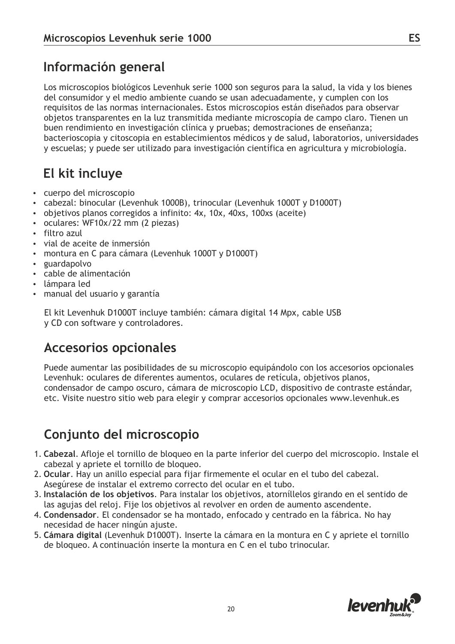### **Información general**

Los microscopios biológicos Levenhuk serie 1000 son seguros para la salud, la vida y los bienes del consumidor y el medio ambiente cuando se usan adecuadamente, y cumplen con los requisitos de las normas internacionales. Estos microscopios están diseñados para observar objetos transparentes en la luz transmitida mediante microscopía de campo claro. Tienen un buen rendimiento en investigación clínica y pruebas; demostraciones de enseñanza; bacterioscopia y citoscopia en establecimientos médicos y de salud, laboratorios, universidades y escuelas; y puede ser utilizado para investigación científica en agricultura y microbiología.

## **El kit incluye**

- џ cuerpo del microscopio
- cabezal: binocular (Levenhuk 1000B), trinocular (Levenhuk 1000T y D1000T)
- objetivos planos corregidos a infinito: 4x, 10x, 40xs, 100xs (aceite)
- oculares: WF10x/22 mm (2 piezas)
- filtro azul
- џ vial de aceite de inmersión
- montura en C para cámara (Levenhuk 1000T y D1000T)
- guardapolvo
- џ cable de alimentación
- џ lámpara led
- manual del usuario y garantía

El kit Levenhuk D1000T incluye también: cámara digital 14 Mpx, cable USB y CD con software y controladores.

#### **Accesorios opcionales**

Puede aumentar las posibilidades de su microscopio equipándolo con los accesorios opcionales Levenhuk: oculares de diferentes aumentos, oculares de retícula, objetivos planos, condensador de campo oscuro, cámara de microscopio LCD, dispositivo de contraste estándar, etc. Visite nuestro sitio web para elegir y comprar accesorios opcionales www.levenhuk.es

#### **Conjunto del microscopio**

- 1. **Cabezal**. Afloje el tornillo de bloqueo en la parte inferior del cuerpo del microscopio. Instale el cabezal y apriete el tornillo de bloqueo.
- 2. **Ocular**. Hay un anillo especial para fijar firmemente el ocular en el tubo del cabezal. Asegúrese de instalar el extremo correcto del ocular en el tubo.
- 3. **Instalación de los objetivos**. Para instalar los objetivos, atorníllelos girando en el sentido de las agujas del reloj. Fije los objetivos al revolver en orden de aumento ascendente.
- 4. **Condensador**. El condensador se ha montado, enfocado y centrado en la fábrica. No hay necesidad de hacer ningún ajuste.
- 5. **Cámara digital** (Levenhuk D1000T). Inserte la cámara en la montura en C y apriete el tornillo de bloqueo. A continuación inserte la montura en C en el tubo trinocular.

![](_page_19_Picture_24.jpeg)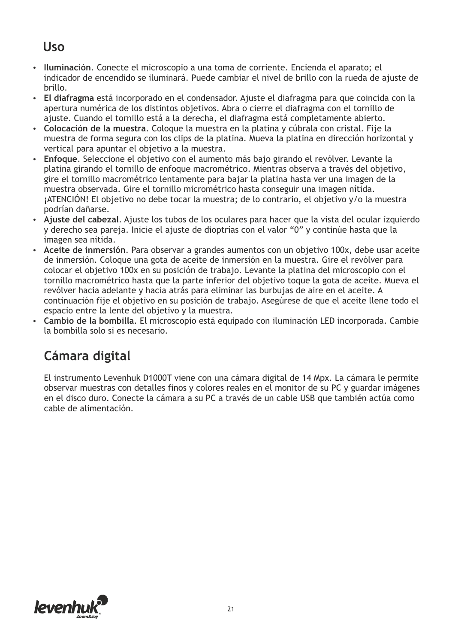#### **Uso**

- џ **Iluminación**. Conecte el microscopio a una toma de corriente. Encienda el aparato; el indicador de encendido se iluminará. Puede cambiar el nivel de brillo con la rueda de ajuste de brillo.
- џ **El diafragma** está incorporado en el condensador. Ajuste el diafragma para que coincida con la apertura numérica de los distintos objetivos. Abra o cierre el diafragma con el tornillo de ajuste. Cuando el tornillo está a la derecha, el diafragma está completamente abierto.
- џ **Colocación de la muestra**. Coloque la muestra en la platina y cúbrala con cristal. Fije la muestra de forma segura con los clips de la platina. Mueva la platina en dirección horizontal y vertical para apuntar el objetivo a la muestra.
- џ **Enfoque**. Seleccione el objetivo con el aumento más bajo girando el revólver. Levante la platina girando el tornillo de enfoque macrométrico. Mientras observa a través del objetivo, gire el tornillo macrométrico lentamente para bajar la platina hasta ver una imagen de la muestra observada. Gire el tornillo micrométrico hasta conseguir una imagen nítida. ¡ATENCIÓN! El objetivo no debe tocar la muestra; de lo contrario, el objetivo y/o la muestra podrían dañarse.
- џ **Ajuste del cabezal**. Ajuste los tubos de los oculares para hacer que la vista del ocular izquierdo y derecho sea pareja. Inicie el ajuste de dioptrías con el valor "0" y continúe hasta que la imagen sea nítida.
- џ **Aceite de inmersión**. Para observar a grandes aumentos con un objetivo 100x, debe usar aceite de inmersión. Coloque una gota de aceite de inmersión en la muestra. Gire el revólver para colocar el objetivo 100x en su posición de trabajo. Levante la platina del microscopio con el tornillo macrométrico hasta que la parte inferior del objetivo toque la gota de aceite. Mueva el revólver hacia adelante y hacia atrás para eliminar las burbujas de aire en el aceite. A continuación fije el objetivo en su posición de trabajo. Asegúrese de que el aceite llene todo el espacio entre la lente del objetivo y la muestra.
- џ **Cambio de la bombilla**. El microscopio está equipado con iluminación LED incorporada. Cambie la bombilla solo si es necesario.

# **Cámara digital**

El instrumento Levenhuk D1000T viene con una cámara digital de 14 Mpx. La cámara le permite observar muestras con detalles finos y colores reales en el monitor de su PC y guardar imágenes en el disco duro. Conecte la cámara a su PC a través de un cable USB que también actúa como cable de alimentación.

![](_page_20_Picture_10.jpeg)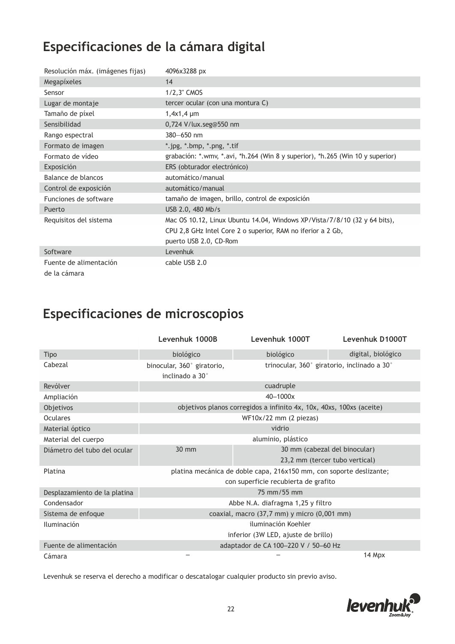#### **Especificaciones de la cámara digital**

| Resolución máx. (imágenes fijas)       | 4096x3288 px                                                                   |
|----------------------------------------|--------------------------------------------------------------------------------|
| Megapíxeles                            | 14                                                                             |
| Sensor                                 | 1/2,3" CMOS                                                                    |
| Lugar de montaje                       | tercer ocular (con una montura C)                                              |
| Tamaño de píxel                        | $1,4x1,4 \mu m$                                                                |
| Sensibilidad                           | 0,724 V/lux.seg@550 nm                                                         |
| Rango espectral                        | 380-650 nm                                                                     |
| Formato de imagen                      | *.jpg, *.bmp, *.png, *.tif                                                     |
| Formato de vídeo                       | grabación: *.wmv, *.avi, *h.264 (Win 8 y superior), *h.265 (Win 10 y superior) |
| Exposición                             | ERS (obturador electrónico)                                                    |
| Balance de blancos                     | automático/manual                                                              |
| Control de exposición                  | automático/manual                                                              |
| Funciones de software                  | tamaño de imagen, brillo, control de exposición                                |
| Puerto                                 | USB 2.0, 480 Mb/s                                                              |
| Requisitos del sistema                 | Mac OS 10.12, Linux Ubuntu 14.04, Windows XP/Vista/7/8/10 (32 y 64 bits),      |
|                                        | CPU 2,8 GHz Intel Core 2 o superior, RAM no iferior a 2 Gb,                    |
|                                        | puerto USB 2.0, CD-Rom                                                         |
| Software                               | Levenhuk                                                                       |
| Fuente de alimentación<br>de la cámara | cable USB 2.0                                                                  |

#### **Especificaciones de microscopios**

|                              | Levenhuk 1000B                                                      | Levenhuk 1000T                                                       | Levenhuk D1000T                             |
|------------------------------|---------------------------------------------------------------------|----------------------------------------------------------------------|---------------------------------------------|
| Tipo                         | biológico                                                           | biológico                                                            | digital, biológico                          |
| Cabezal                      | binocular, 360° giratorio,<br>inclinado a 30°                       |                                                                      | trinocular, 360° giratorio, inclinado a 30° |
| Revólver                     |                                                                     | cuadruple                                                            |                                             |
| Ampliación                   |                                                                     | 40-1000x                                                             |                                             |
| Objetivos                    |                                                                     | objetivos planos corregidos a infinito 4x, 10x, 40xs, 100xs (aceite) |                                             |
| Oculares                     |                                                                     | $WF10x/22$ mm (2 piezas)                                             |                                             |
| Material óptico              | vidrio                                                              |                                                                      |                                             |
| Material del cuerpo          | aluminio, plástico                                                  |                                                                      |                                             |
| Diámetro del tubo del ocular | $30 \text{ mm}$<br>30 mm (cabezal del binocular)                    |                                                                      |                                             |
|                              |                                                                     |                                                                      | 23,2 mm (tercer tubo vertical)              |
| Platina                      | platina mecánica de doble capa, 216x150 mm, con soporte deslizante; |                                                                      |                                             |
|                              |                                                                     | con superficie recubierta de grafito                                 |                                             |
| Desplazamiento de la platina | 75 mm/55 mm                                                         |                                                                      |                                             |
| Condensador                  | Abbe N.A. diafragma 1,25 y filtro                                   |                                                                      |                                             |
| Sistema de enfoque           | coaxial, macro (37,7 mm) y micro (0,001 mm)                         |                                                                      |                                             |
| <b>Iluminación</b>           | iluminación Koehler                                                 |                                                                      |                                             |
|                              |                                                                     | inferior (3W LED, ajuste de brillo)                                  |                                             |
| Fuente de alimentación       | adaptador de CA 100-220 V / 50-60 Hz                                |                                                                      |                                             |
| Cámara                       |                                                                     |                                                                      | 14 Mpx                                      |

Levenhuk se reserva el derecho a modificar o descatalogar cualquier producto sin previo aviso.

![](_page_21_Picture_5.jpeg)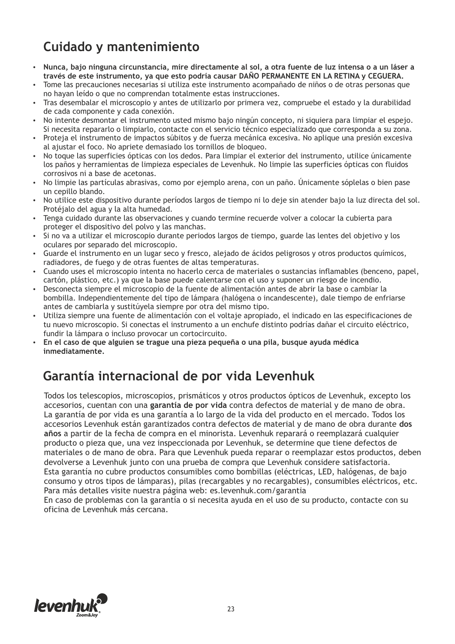# **Cuidado y mantenimiento**

- џ **Nunca, bajo ninguna circunstancia, mire directamente al sol, a otra fuente de luz intensa o a un láser a través de este instrumento, ya que esto podría causar DAÑO PERMANENTE EN LA RETINA y CEGUERA.**
- џ Tome las precauciones necesarias si utiliza este instrumento acompañado de niños o de otras personas que no hayan leído o que no comprendan totalmente estas instrucciones.
- Tras desembalar el microscopio y antes de utilizarlo por primera vez, compruebe el estado y la durabilidad de cada componente y cada conexión.
- џ No intente desmontar el instrumento usted mismo bajo ningún concepto, ni siquiera para limpiar el espejo. Si necesita repararlo o limpiarlo, contacte con el servicio técnico especializado que corresponda a su zona.
- Proteja el instrumento de impactos súbitos y de fuerza mecánica excesiva. No aplique una presión excesiva al ajustar el foco. No apriete demasiado los tornillos de bloqueo.
- џ No toque las superficies ópticas con los dedos. Para limpiar el exterior del instrumento, utilice únicamente los paños y herramientas de limpieza especiales de Levenhuk. No limpie las superficies ópticas con fluidos corrosivos ni a base de acetonas.
- No limpie las partículas abrasivas, como por ejemplo arena, con un paño. Únicamente sóplelas o bien pase un cepillo blando.
- No utilice este dispositivo durante períodos largos de tiempo ni lo deje sin atender bajo la luz directa del sol. Protéjalo del agua y la alta humedad.
- Tenga cuidado durante las observaciones y cuando termine recuerde volver a colocar la cubierta para proteger el dispositivo del polvo y las manchas.
- Si no va a utilizar el microscopio durante periodos largos de tiempo, guarde las lentes del objetivo y los oculares por separado del microscopio.
- џ Guarde el instrumento en un lugar seco y fresco, alejado de ácidos peligrosos y otros productos químicos, radiadores, de fuego y de otras fuentes de altas temperaturas.
- џ Cuando uses el microscopio intenta no hacerlo cerca de materiales o sustancias inflamables (benceno, papel, cartón, plástico, etc.) ya que la base puede calentarse con el uso y suponer un riesgo de incendio.
- џ Desconecta siempre el microscopio de la fuente de alimentación antes de abrir la base o cambiar la bombilla. Independientemente del tipo de lámpara (halógena o incandescente), dale tiempo de enfriarse antes de cambiarla y sustitúyela siempre por otra del mismo tipo.
- џ Utiliza siempre una fuente de alimentación con el voltaje apropiado, el indicado en las especificaciones de tu nuevo microscopio. Si conectas el instrumento a un enchufe distinto podrías dañar el circuito eléctrico, fundir la lámpara o incluso provocar un cortocircuito.
- џ **En el caso de que alguien se trague una pieza pequeña o una pila, busque ayuda médica inmediatamente.**

#### **Garantía internacional de por vida Levenhuk**

Todos los telescopios, microscopios, prismáticos y otros productos ópticos de Levenhuk, excepto los accesorios, cuentan con una **garantía de por vida** contra defectos de material y de mano de obra. La garantía de por vida es una garantía a lo largo de la vida del producto en el mercado. Todos los accesorios Levenhuk están garantizados contra defectos de material y de mano de obra durante **dos años** a partir de la fecha de compra en el minorista. Levenhuk reparará o reemplazará cualquier producto o pieza que, una vez inspeccionada por Levenhuk, se determine que tiene defectos de materiales o de mano de obra. Para que Levenhuk pueda reparar o reemplazar estos productos, deben devolverse a Levenhuk junto con una prueba de compra que Levenhuk considere satisfactoria. Esta garantía no cubre productos consumibles como bombillas (eléctricas, LED, halógenas, de bajo consumo y otros tipos de lámparas), pilas (recargables y no recargables), consumibles eléctricos, etc. Para más detalles visite nuestra página web: es.levenhuk.com/garantia

En caso de problemas con la garantía o si necesita ayuda en el uso de su producto, contacte con su oficina de Levenhuk más cercana.

![](_page_22_Picture_19.jpeg)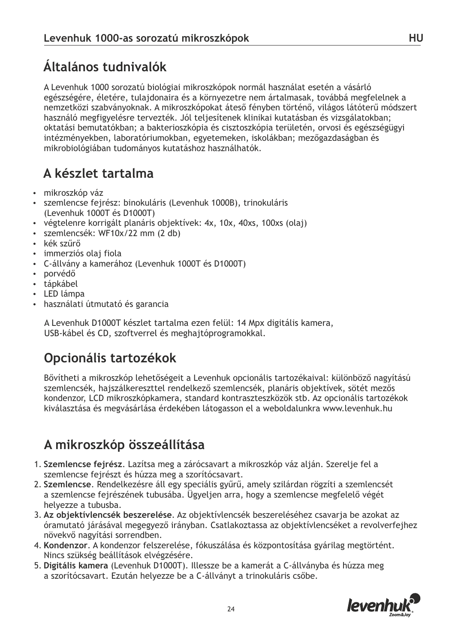# **Általános tudnivalók**

A Levenhuk 1000 sorozatú biológiai mikroszkópok normál használat esetén a vásárló egészségére, életére, tulajdonaira és a környezetre nem ártalmasak, továbbá megfelelnek a nemzetközi szabványoknak. A mikroszkópokat áteső fényben történő, világos látóterű módszert használó megfigyelésre tervezték. Jól teljesítenek klinikai kutatásban és vizsgálatokban; oktatási bemutatókban; a bakterioszkópia és cisztoszkópia területén, orvosi és egészségügyi intézményekben, laboratóriumokban, egyetemeken, iskolákban; mezőgazdaságban és mikrobiológiában tudományos kutatáshoz használhatók.

# **A készlet tartalma**

- mikroszkóp váz
- szemlencse fejrész: binokuláris (Levenhuk 1000B), trinokuláris (Levenhuk 1000T és D1000T)
- џ végtelenre korrigált planáris objektívek: 4x, 10x, 40xs, 100xs (olaj)
- џ szemlencsék: WF10x/22 mm (2 db)
- kék szűrő
- џ immerziós olaj fiola
- џ C-állvány a kamerához (Levenhuk 1000T és D1000T)
- porvédő
- tápkábel
- LED lámpa
- џ használati útmutató és garancia

A Levenhuk D1000T készlet tartalma ezen felül: 14 Mpx digitális kamera, USB-kábel és CD, szoftverrel és meghajtóprogramokkal.

# **Opcionális tartozékok**

Bővítheti a mikroszkóp lehetőségeit a Levenhuk opcionális tartozékaival: különböző nagyítású szemlencsék, hajszálkereszttel rendelkező szemlencsék, planáris objektívek, sötét mezős kondenzor, LCD mikroszkópkamera, standard kontraszteszközök stb. Az opcionális tartozékok kiválasztása és megvásárlása érdekében látogasson el a weboldalunkra www.levenhuk.hu

#### **A mikroszkóp összeállítása**

- 1. **Szemlencse fejrész**. Lazítsa meg a zárócsavart a mikroszkóp váz alján. Szerelje fel a szemlencse fejrészt és húzza meg a szorítócsavart.
- 2. **Szemlencse**. Rendelkezésre áll egy speciális gyűrű, amely szilárdan rögzíti a szemlencsét a szemlencse fejrészének tubusába. Ügyeljen arra, hogy a szemlencse megfelelő végét helyezze a tubusba.
- 3. **Az objektívlencsék beszerelése**. Az objektívlencsék beszereléséhez csavarja be azokat az óramutató járásával megegyező irányban. Csatlakoztassa az objektívlencséket a revolverfejhez növekvő nagyítási sorrendben.
- 4. **Kondenzor**. A kondenzor felszerelése, fókuszálása és központosítása gyárilag megtörtént. Nincs szükség beállítások elvégzésére.
- 5. **Digitális kamera** (Levenhuk D1000T). Illessze be a kamerát a C-állványba és húzza meg a szorítócsavart. Ezután helyezze be a C-állványt a trinokuláris csőbe.

![](_page_23_Picture_24.jpeg)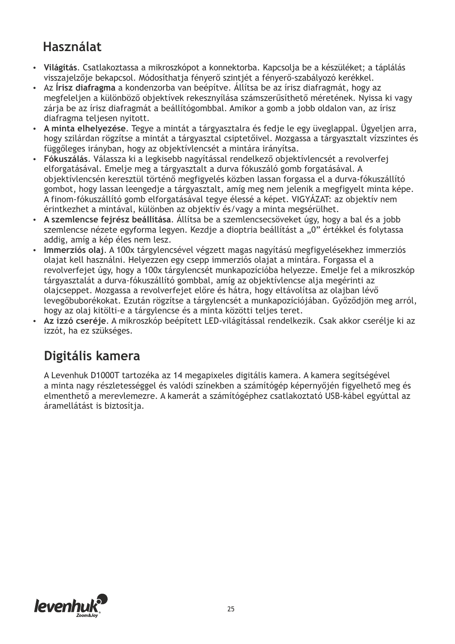### **Használat**

- џ **Világítás**. Csatlakoztassa a mikroszkópot a konnektorba. Kapcsolja be a készüléket; a táplálás visszajelzője bekapcsol. Módosíthatja fényerő szintjét a fényerő-szabályozó kerékkel.
- џ Az **Írisz diafragma** a kondenzorba van beépítve. Állítsa be az írisz diafragmát, hogy az megfeleljen a különböző objektívek rekesznyílása számszerűsíthető méretének. Nyissa ki vagy zárja be az írisz diafragmát a beállítógombbal. Amikor a gomb a jobb oldalon van, az írisz diafragma teljesen nyitott.
- џ **A minta elhelyezése**. Tegye a mintát a tárgyasztalra és fedje le egy üveglappal. Ügyeljen arra, hogy szilárdan rögzítse a mintát a tárgyasztal csiptetőivel. Mozgassa a tárgyasztalt vízszintes és függőleges irányban, hogy az objektívlencsét a mintára irányítsa.
- џ **Fókuszálás**. Válassza ki a legkisebb nagyítással rendelkező objektívlencsét a revolverfej elforgatásával. Emelje meg a tárgyasztalt a durva fókuszáló gomb forgatásával. A objektívlencsén keresztül történő megfigyelés közben lassan forgassa el a durva-fókuszállító gombot, hogy lassan leengedje a tárgyasztalt, amíg meg nem jelenik a megfigyelt minta képe. A finom-fókuszállító gomb elforgatásával tegye élessé a képet. VIGYÁZAT: az objektív nem érintkezhet a mintával, különben az objektív és/vagy a minta megsérülhet.
- џ **A szemlencse fejrész beállítása**. Állítsa be a szemlencsecsöveket úgy, hogy a bal és a jobb szemlencse nézete egyforma legyen. Kezdje a dioptria beállítást a "0" értékkel és folytassa addig, amíg a kép éles nem lesz.
- џ **Immerziós olaj**. A 100x tárgylencsével végzett magas nagyítású megfigyelésekhez immerziós olajat kell használni. Helyezzen egy csepp immerziós olajat a mintára. Forgassa el a revolverfejet úgy, hogy a 100x tárgylencsét munkapozícióba helyezze. Emelje fel a mikroszkóp tárgyasztalát a durva-fókuszállító gombbal, amíg az objektívlencse alja megérinti az olajcseppet. Mozgassa a revolverfejet előre és hátra, hogy eltávolítsa az olajban lévő levegőbuborékokat. Ezután rögzítse a tárgylencsét a munkapozíciójában. Győződjön meg arról, hogy az olaj kitölti-e a tárgylencse és a minta közötti teljes teret.
- џ **Az izzó cseréje**. A mikroszkóp beépített LED-világítással rendelkezik. Csak akkor cserélje ki az izzót, ha ez szükséges.

#### **Digitális kamera**

A Levenhuk D1000T tartozéka az 14 megapixeles digitális kamera. A kamera segítségével a minta nagy részletességgel és valódi színekben a számítógép képernyőjén figyelhető meg és elmenthető a merevlemezre. A kamerát a számítógéphez csatlakoztató USB-kábel egyúttal az áramellátást is biztosítja.

![](_page_24_Picture_10.jpeg)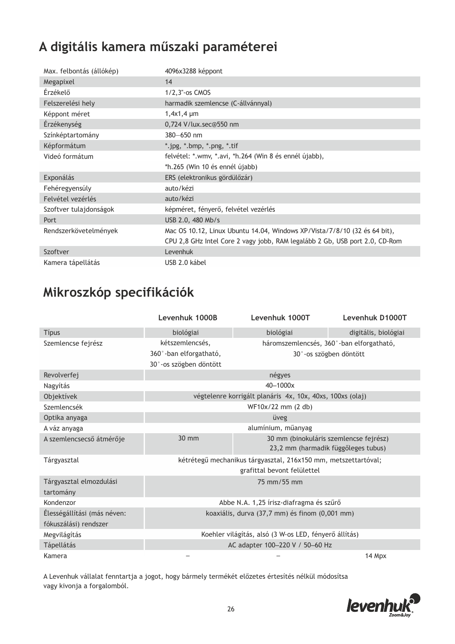# **A digitális kamera műszaki paraméterei**

| Max. felbontás (állókép) | 4096x3288 képpont                                                           |
|--------------------------|-----------------------------------------------------------------------------|
| Megapixel                | 14                                                                          |
| Érzékelő                 | $1/2$ , $3"$ -os CMOS                                                       |
| Felszerelési hely        | harmadik szemlencse (C-állvánnyal)                                          |
| Képpont méret            | $1,4x1,4 \mu m$                                                             |
| Érzékenység              | 0,724 V/lux.sec@550 nm                                                      |
| Színképtartomány         | 380-650 nm                                                                  |
| Képformátum              | *.jpg, *.bmp, *.png, *.tif                                                  |
| Videó formátum           | felvétel: *.wmv, *.avi, *h.264 (Win 8 és ennél újabb),                      |
|                          | *h.265 (Win 10 és ennél újabb)                                              |
| Exponálás                | ERS (elektronikus gördülőzár)                                               |
| Fehéregyensúly           | auto/kézi                                                                   |
| Felvétel vezérlés        | auto/kézi                                                                   |
| Szoftver tulajdonságok   | képméret, fényerő, felvétel vezérlés                                        |
| Port                     | USB 2.0, 480 Mb/s                                                           |
| Rendszerkövetelmények    | Mac OS 10.12, Linux Ubuntu 14.04, Windows XP/Vista/7/8/10 (32 és 64 bit),   |
|                          | CPU 2,8 GHz Intel Core 2 vagy jobb, RAM legalább 2 Gb, USB port 2.0, CD-Rom |
| Szoftver                 | Levenhuk                                                                    |
| Kamera tápellátás        | USB 2.0 kábel                                                               |

#### **Mikroszkóp specifikációk**

|                                      | Levenhuk 1000B                                                                                | Levenhuk 1000T                                            | Levenhuk D1000T                                                               |
|--------------------------------------|-----------------------------------------------------------------------------------------------|-----------------------------------------------------------|-------------------------------------------------------------------------------|
| <b>Típus</b>                         | biológiai                                                                                     | biológiai                                                 | digitális, biológiai                                                          |
| Szemlencse fejrész                   | kétszemlencsés,                                                                               |                                                           | háromszemlencsés, 360°-ban elforgatható,                                      |
|                                      | 360°-ban elforgatható,                                                                        |                                                           | 30°-os szögben döntött                                                        |
|                                      | 30°-os szögben döntött                                                                        |                                                           |                                                                               |
| Revolverfej                          |                                                                                               | négyes                                                    |                                                                               |
| Nagyítás                             |                                                                                               | 40-1000x                                                  |                                                                               |
| Objektívek                           |                                                                                               | végtelenre korrigált planáris 4x, 10x, 40xs, 100xs (olaj) |                                                                               |
| Szemlencsék                          |                                                                                               | WF10x/22 mm (2 db)                                        |                                                                               |
| Optika anyaga                        | üveg                                                                                          |                                                           |                                                                               |
| A váz anyaga                         | alumínium, műanyag                                                                            |                                                           |                                                                               |
| A szemlencsecső átmérője             | 30 mm                                                                                         |                                                           | 30 mm (binokuláris szemlencse fejrész)<br>23,2 mm (harmadik függőleges tubus) |
| Tárgyasztal                          | kétrétegű mechanikus tárgyasztal, 216x150 mm, metszettartóval;<br>grafittal bevont felülettel |                                                           |                                                                               |
| Tárgyasztal elmozdulási<br>tartomány | 75 mm/55 mm                                                                                   |                                                           |                                                                               |
| Kondenzor                            | Abbe N.A. 1,25 írisz-diafragma és szűrő                                                       |                                                           |                                                                               |
| Élességállítási (más néven:          | koaxiális, durva (37,7 mm) és finom (0,001 mm)                                                |                                                           |                                                                               |
| fókuszálási) rendszer                |                                                                                               |                                                           |                                                                               |
| Megvilágítás                         | Koehler világítás, alsó (3 W-os LED, fényerő állítás)                                         |                                                           |                                                                               |
| <b>Tápellátás</b>                    | AC adapter 100-220 V / 50-60 Hz                                                               |                                                           |                                                                               |
| Kamera                               |                                                                                               |                                                           | 14 Mpx                                                                        |

A Levenhuk vállalat fenntartja a jogot, hogy bármely termékét előzetes értesítés nélkül módosítsa vagy kivonja a forgalomból.

![](_page_25_Picture_5.jpeg)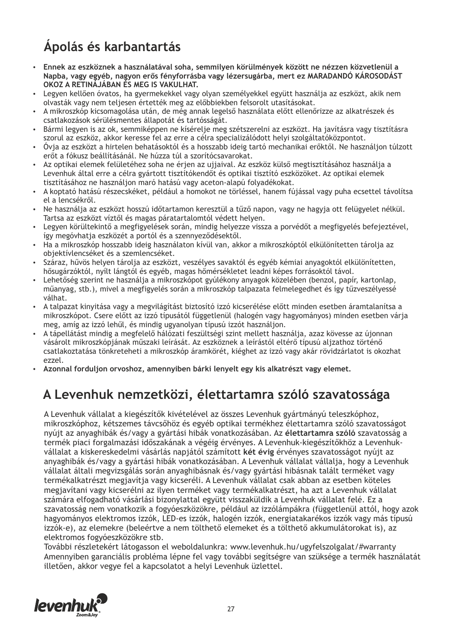# **Ápolás és karbantartás**

- џ **Ennek az eszköznek a használatával soha, semmilyen körülmények között ne nézzen közvetlenül a Napba, vagy egyéb, nagyon erős fényforrásba vagy lézersugárba, mert ez MARADANDÓ KÁROSODÁST OKOZ A RETINÁJÁBAN ÉS MEG IS VAKULHAT.**
- Legyen kellően óvatos, ha gyermekekkel vagy olyan személyekkel együtt használja az eszközt, akik nem olvasták vagy nem teljesen értették meg az előbbiekben felsorolt utasításokat.
- џ A mikroszkóp kicsomagolása után, de még annak legelső használata előtt ellenőrizze az alkatrészek és csatlakozások sérülésmentes állapotát és tartósságát.
- џ Bármi legyen is az ok, semmiképpen ne kísérelje meg szétszerelni az eszközt. Ha javításra vagy tisztításra szorul az eszköz, akkor keresse fel az erre a célra specializálódott helyi szolgáltatóközpontot.
- џ Óvja az eszközt a hirtelen behatásoktól és a hosszabb ideig tartó mechanikai erőktől. Ne használjon túlzott erőt a fókusz beállításánál. Ne húzza túl a szorítócsavarokat.
- џ Az optikai elemek felületéhez soha ne érjen az ujjaival. Az eszköz külső megtisztításához használja a Levenhuk által erre a célra gyártott tisztítókendőt és optikai tisztító eszközöket. Az optikai elemek tisztításához ne használjon maró hatású vagy aceton-alapú folyadékokat.
- џ A koptató hatású részecskéket, például a homokot ne törléssel, hanem fújással vagy puha ecsettel távolítsa el a lencsékről.
- Ne használja az eszközt hosszú időtartamon keresztül a tűző napon, vagy ne hagyja ott felügyelet nélkül. Tartsa az eszközt víztől és magas páratartalomtól védett helyen.
- Legyen körültekintő a megfigyelések során, mindig helyezze vissza a porvédőt a megfigyelés befejeztével, így megóvhatja eszközét a portól és a szennyeződésektől.
- џ Ha a mikroszkóp hosszabb ideig használaton kívül van, akkor a mikroszkóptól elkülönítetten tárolja az objektívlencséket és a szemlencséket.
- џ Száraz, hűvös helyen tárolja az eszközt, veszélyes savaktól és egyéb kémiai anyagoktól elkülönítetten, hősugárzóktól, nyílt lángtól és egyéb, magas hőmérsékletet leadni képes forrásoktól távol.
- Lehetőség szerint ne használja a mikroszkópot gyúlékony anyagok közelében (benzol, papír, kartonlap, műanyag, stb.), mivel a megfigyelés során a mikroszkóp talpazata felmelegedhet és így tűzveszélyessé válhat.
- џ A talpazat kinyitása vagy a megvilágítást biztosító izzó kicserélése előtt minden esetben áramtalanítsa a mikroszkópot. Csere előtt az izzó típusától függetlenül (halogén vagy hagyományos) minden esetben várja meg, amíg az izzó lehűl, és mindig ugyanolyan típusú izzót használjon.
- џ A tápellátást mindig a megfelelő hálózati feszültségi szint mellett használja, azaz kövesse az újonnan vásárolt mikroszkópjának műszaki leírását. Az eszköznek a leírástól eltérő típusú aljzathoz történő csatlakoztatása tönkreteheti a mikroszkóp áramkörét, kiéghet az izzó vagy akár rövidzárlatot is okozhat ezzel.
- џ **Azonnal forduljon orvoshoz, amennyiben bárki lenyelt egy kis alkatrészt vagy elemet.**

#### **A Levenhuk nemzetközi, élettartamra szóló szavatossága**

A Levenhuk vállalat a kiegészítők kivételével az összes Levenhuk gyártmányú teleszkóphoz, mikroszkóphoz, kétszemes távcsőhöz és egyéb optikai termékhez élettartamra szóló szavatosságot nyújt az anyaghibák és/vagy a gyártási hibák vonatkozásában. Az **élettartamra szóló** szavatosság a termék piaci forgalmazási időszakának a végéig érvényes. A Levenhuk-kiegészítőkhöz a Levenhukvállalat a kiskereskedelmi vásárlás napjától számított **két évig** érvényes szavatosságot nyújt az anyaghibák és/vagy a gyártási hibák vonatkozásában. A Levenhuk vállalat vállalja, hogy a Levenhuk vállalat általi megvizsgálás során anyaghibásnak és/vagy gyártási hibásnak talált terméket vagy termékalkatrészt megjavítja vagy kicseréli. A Levenhuk vállalat csak abban az esetben köteles megjavítani vagy kicserélni az ilyen terméket vagy termékalkatrészt, ha azt a Levenhuk vállalat számára elfogadható vásárlási bizonylattal együtt visszaküldik a Levenhuk vállalat felé. Ez a szavatosság nem vonatkozik a fogyóeszközökre, például az izzólámpákra (függetlenül attól, hogy azok hagyományos elektromos izzók, LED-es izzók, halogén izzók, energiatakarékos izzók vagy más típusú izzók-e), az elemekre (beleértve a nem tölthető elemeket és a tölthető akkumulátorokat is), az elektromos fogyóeszközökre stb.

További részletekért látogasson el weboldalunkra: www.levenhuk.hu/ugyfelszolgalat/#warranty Amennyiben garanciális probléma lépne fel vagy további segítségre van szüksége a termék használatát illetően, akkor vegye fel a kapcsolatot a helyi Levenhuk üzlettel.

![](_page_26_Picture_19.jpeg)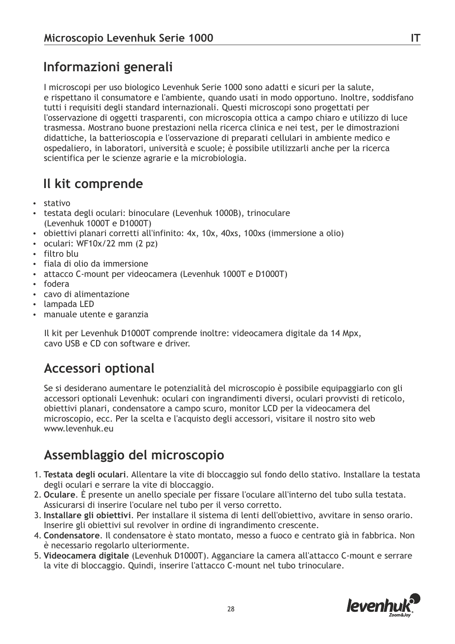# **Informazioni generali**

I microscopi per uso biologico Levenhuk Serie 1000 sono adatti e sicuri per la salute, e rispettano il consumatore e l'ambiente, quando usati in modo opportuno. Inoltre, soddisfano tutti i requisiti degli standard internazionali. Questi microscopi sono progettati per l'osservazione di oggetti trasparenti, con microscopia ottica a campo chiaro e utilizzo di luce trasmessa. Mostrano buone prestazioni nella ricerca clinica e nei test, per le dimostrazioni didattiche, la batterioscopia e l'osservazione di preparati cellulari in ambiente medico e ospedaliero, in laboratori, università e scuole; è possibile utilizzarli anche per la ricerca scientifica per le scienze agrarie e la microbiologia.

## **Il kit comprende**

- џ stativo
- testata degli oculari: binoculare (Levenhuk 1000B), trinoculare (Levenhuk 1000T e D1000T)
- obiettivi planari corretti all'infinito: 4x, 10x, 40xs, 100xs (immersione a olio)
- $\cdot$  oculari: WF10x/22 mm (2 pz)
- filtro blu
- fiala di olio da immersione
- attacco C-mount per videocamera (Levenhuk 1000T e D1000T)
- fodera
- cavo di alimentazione
- lampada LED
- manuale utente e garanzia

Il kit per Levenhuk D1000T comprende inoltre: videocamera digitale da 14 Mpx, cavo USB e CD con software e driver.

#### **Accessori optional**

Se si desiderano aumentare le potenzialità del microscopio è possibile equipaggiarlo con gli accessori optionali Levenhuk: oculari con ingrandimenti diversi, oculari provvisti di reticolo, obiettivi planari, condensatore a campo scuro, monitor LCD per la videocamera del microscopio, ecc. Per la scelta e l'acquisto degli accessori, visitare il nostro sito web www.levenhuk.eu

# **Assemblaggio del microscopio**

- 1. **Testata degli oculari**. Allentare la vite di bloccaggio sul fondo dello stativo. Installare la testata degli oculari e serrare la vite di bloccaggio.
- 2. **Oculare**. È presente un anello speciale per fissare l'oculare all'interno del tubo sulla testata. Assicurarsi di inserire l'oculare nel tubo per il verso corretto.
- 3. **Installare gli obiettivi**. Per installare il sistema di lenti dell'obiettivo, avvitare in senso orario. Inserire gli obiettivi sul revolver in ordine di ingrandimento crescente.
- 4. **Condensatore**. Il condensatore è stato montato, messo a fuoco e centrato già in fabbrica. Non è necessario regolarlo ulteriormente.
- 5. **Videocamera digitale** (Levenhuk D1000T). Agganciare la camera all'attacco C-mount e serrare la vite di bloccaggio. Quindi, inserire l'attacco C-mount nel tubo trinoculare.

![](_page_27_Picture_24.jpeg)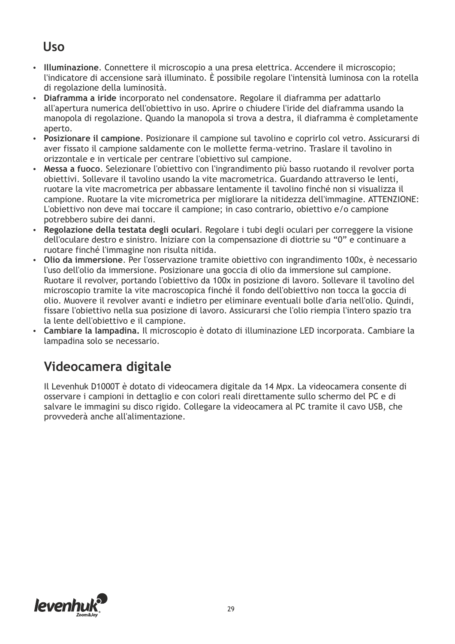#### **Uso**

- џ **Illuminazione**. Connettere il microscopio a una presa elettrica. Accendere il microscopio; l'indicatore di accensione sarà illuminato. È possibile regolare l'intensità luminosa con la rotella di regolazione della luminosità.
- џ **Diaframma a iride** incorporato nel condensatore. Regolare il diaframma per adattarlo all'apertura numerica dell'obiettivo in uso. Aprire o chiudere l'iride del diaframma usando la manopola di regolazione. Quando la manopola si trova a destra, il diaframma è completamente aperto.
- џ **Posizionare il campione**. Posizionare il campione sul tavolino e coprirlo col vetro. Assicurarsi di aver fissato il campione saldamente con le mollette ferma-vetrino. Traslare il tavolino in orizzontale e in verticale per centrare l'obiettivo sul campione.
- џ **Messa a fuoco**. Selezionare l'obiettivo con l'ingrandimento più basso ruotando il revolver porta obiettivi. Sollevare il tavolino usando la vite macrometrica. Guardando attraverso le lenti, ruotare la vite macrometrica per abbassare lentamente il tavolino finché non si visualizza il campione. Ruotare la vite micrometrica per migliorare la nitidezza dell'immagine. ATTENZIONE: L'obiettivo non deve mai toccare il campione; in caso contrario, obiettivo e/o campione potrebbero subire dei danni.
- џ **Regolazione della testata degli oculari**. Regolare i tubi degli oculari per correggere la visione dell'oculare destro e sinistro. Iniziare con la compensazione di diottrie su "0" e continuare a ruotare finché l'immagine non risulta nitida.
- џ **Olio da immersione**. Per l'osservazione tramite obiettivo con ingrandimento 100x, è necessario l'uso dell'olio da immersione. Posizionare una goccia di olio da immersione sul campione. Ruotare il revolver, portando l'obiettivo da 100x in posizione di lavoro. Sollevare il tavolino del microscopio tramite la vite macroscopica finché il fondo dell'obiettivo non tocca la goccia di olio. Muovere il revolver avanti e indietro per eliminare eventuali bolle d'aria nell'olio. Quindi, fissare l'obiettivo nella sua posizione di lavoro. Assicurarsi che l'olio riempia l'intero spazio tra la lente dell'obiettivo e il campione.
- џ **Cambiare la lampadina.** Il microscopio è dotato di illuminazione LED incorporata. Cambiare la lampadina solo se necessario.

#### **Videocamera digitale**

Il Levenhuk D1000T è dotato di videocamera digitale da 14 Mpx. La videocamera consente di osservare i campioni in dettaglio e con colori reali direttamente sullo schermo del PC e di salvare le immagini su disco rigido. Collegare la videocamera al PC tramite il cavo USB, che provvederà anche all'alimentazione.

![](_page_28_Picture_10.jpeg)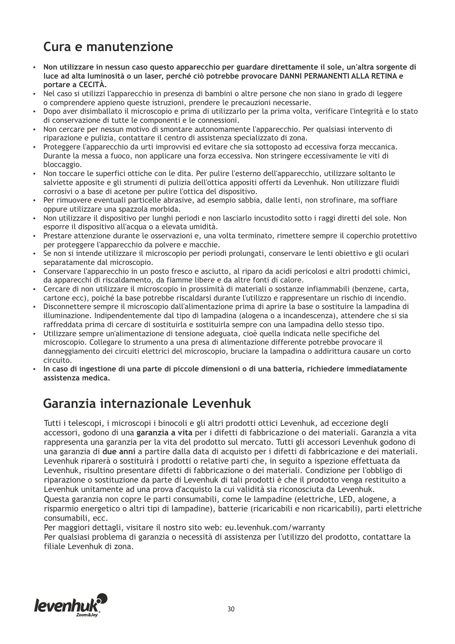### **Cura e manutenzione**

- џ **Non utilizzare in nessun caso questo apparecchio per guardare direttamente il sole, un'altra sorgente di luce ad alta luminosità o un laser, perché ciò potrebbe provocare DANNI PERMANENTI ALLA RETINA e portare a CECITÀ.**
- џ Nel caso si utilizzi l'apparecchio in presenza di bambini o altre persone che non siano in grado di leggere o comprendere appieno queste istruzioni, prendere le precauzioni necessarie.
- џ Dopo aver disimballato il microscopio e prima di utilizzarlo per la prima volta, verificare l'integrità e lo stato di conservazione di tutte le componenti e le connessioni.
- Non cercare per nessun motivo di smontare autonomamente l'apparecchio. Per qualsiasi intervento di riparazione e pulizia, contattare il centro di assistenza specializzato di zona.
- Proteggere l'apparecchio da urti improvvisi ed evitare che sia sottoposto ad eccessiva forza meccanica. Durante la messa a fuoco, non applicare una forza eccessiva. Non stringere eccessivamente le viti di bloccaggio.
- џ Non toccare le superfici ottiche con le dita. Per pulire l'esterno dell'apparecchio, utilizzare soltanto le salviette apposite e gli strumenti di pulizia dell'ottica appositi offerti da Levenhuk. Non utilizzare fluidi corrosivi o a base di acetone per pulire l'ottica del dispositivo.
- Per rimuovere eventuali particelle abrasive, ad esempio sabbia, dalle lenti, non strofinare, ma soffiare oppure utilizzare una spazzola morbida.
- Non utilizzare il dispositivo per lunghi periodi e non lasciarlo incustodito sotto i raggi diretti del sole. Non esporre il dispositivo all'acqua o a elevata umidità.
- џ Prestare attenzione durante le osservazioni e, una volta terminato, rimettere sempre il coperchio protettivo per proteggere l'apparecchio da polvere e macchie.
- џ Se non si intende utilizzare il microscopio per periodi prolungati, conservare le lenti obiettivo e gli oculari separatamente dal microscopio.
- џ Conservare l'apparecchio in un posto fresco e asciutto, al riparo da acidi pericolosi e altri prodotti chimici, da apparecchi di riscaldamento, da fiamme libere e da altre fonti di calore.
- џ Cercare di non utilizzare il microscopio in prossimità di materiali o sostanze infiammabili (benzene, carta, cartone ecc), poiché la base potrebbe riscaldarsi durante l'utilizzo e rappresentare un rischio di incendio.
- џ Disconnettere sempre il microscopio dall'alimentazione prima di aprire la base o sostituire la lampadina di illuminazione. Indipendentemente dal tipo di lampadina (alogena o a incandescenza), attendere che si sia raffreddata prima di cercare di sostituirla e sostituirla sempre con una lampadina dello stesso tipo.
- џ Utilizzare sempre un'alimentazione di tensione adeguata, cioè quella indicata nelle specifiche del microscopio. Collegare lo strumento a una presa di alimentazione differente potrebbe provocare il danneggiamento dei circuiti elettrici del microscopio, bruciare la lampadina o addirittura causare un corto circuito.
- џ **In caso di ingestione di una parte di piccole dimensioni o di una batteria, richiedere immediatamente assistenza medica.**

#### **Garanzia internazionale Levenhuk**

Tutti i telescopi, i microscopi i binocoli e gli altri prodotti ottici Levenhuk, ad eccezione degli accessori, godono di una **garanzia a vita** per i difetti di fabbricazione o dei materiali. Garanzia a vita rappresenta una garanzia per la vita del prodotto sul mercato. Tutti gli accessori Levenhuk godono di una garanzia di **due anni** a partire dalla data di acquisto per i difetti di fabbricazione e dei materiali. Levenhuk riparerà o sostituirà i prodotti o relative parti che, in seguito a ispezione effettuata da Levenhuk, risultino presentare difetti di fabbricazione o dei materiali. Condizione per l'obbligo di riparazione o sostituzione da parte di Levenhuk di tali prodotti è che il prodotto venga restituito a Levenhuk unitamente ad una prova d'acquisto la cui validità sia riconosciuta da Levenhuk. Questa garanzia non copre le parti consumabili, come le lampadine (elettriche, LED, alogene, a risparmio energetico o altri tipi di lampadine), batterie (ricaricabili e non ricaricabili), parti elettriche consumabili, ecc.

Per maggiori dettagli, visitare il nostro sito web: eu.levenhuk.com/warranty

Per qualsiasi problema di garanzia o necessità di assistenza per l'utilizzo del prodotto, contattare la filiale Levenhuk di zona.

![](_page_29_Picture_20.jpeg)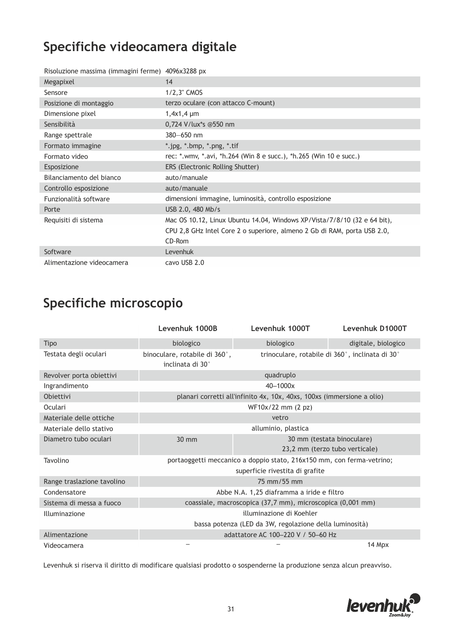# **Specifiche videocamera digitale**

| Risoluzione massima (immagini ferme) 4096x3288 px |                                                                          |
|---------------------------------------------------|--------------------------------------------------------------------------|
| Megapixel                                         | 14                                                                       |
| Sensore                                           | $1/2,3$ " CMOS                                                           |
| Posizione di montaggio                            | terzo oculare (con attacco C-mount)                                      |
| Dimensione pixel                                  | $1,4x1,4 \mu m$                                                          |
| Sensibilità                                       | 0,724 V/lux*s @550 nm                                                    |
| Range spettrale                                   | $380 - 650$ nm                                                           |
| Formato immagine                                  | *.jpg, *.bmp, *.png, *.tif                                               |
| Formato video                                     | rec: *.wmv, *.avi, *h.264 (Win 8 e succ.), *h.265 (Win 10 e succ.)       |
| Esposizione                                       | ERS (Electronic Rolling Shutter)                                         |
| Bilanciamento del bianco                          | auto/manuale                                                             |
| Controllo esposizione                             | auto/manuale                                                             |
| Funzionalità software                             | dimensioni immagine, luminosità, controllo esposizione                   |
| Porte                                             | USB 2.0, 480 Mb/s                                                        |
| Requisiti di sistema                              | Mac OS 10.12, Linux Ubuntu 14.04, Windows XP/Vista/7/8/10 (32 e 64 bit), |
|                                                   | CPU 2,8 GHz Intel Core 2 o superiore, almeno 2 Gb di RAM, porta USB 2.0, |
|                                                   | CD-Rom                                                                   |
| Software                                          | Levenhuk                                                                 |
| Alimentazione videocamera                         | cavo USB 2.0                                                             |

# **Specifiche microscopio**

|                            | Levenhuk 1000B                                                                                           | Levenhuk 1000T                                               | Levenhuk D1000T     |
|----------------------------|----------------------------------------------------------------------------------------------------------|--------------------------------------------------------------|---------------------|
| <b>Tipo</b>                | biologico                                                                                                | biologico                                                    | digitale, biologico |
| Testata degli oculari      | binoculare, rotabile di 360°,<br>inclinata di 30°                                                        | trinoculare, rotabile di 360°, inclinata di 30°              |                     |
| Revolver porta obiettivi   |                                                                                                          | quadruplo                                                    |                     |
| Ingrandimento              | 40-1000x                                                                                                 |                                                              |                     |
| Obiettivi                  | planari corretti all'infinito 4x, 10x, 40xs, 100xs (immersione a olio)                                   |                                                              |                     |
| Oculari                    | WF10x/22 mm (2 pz)                                                                                       |                                                              |                     |
| Materiale delle ottiche    | vetro                                                                                                    |                                                              |                     |
| Materiale dello stativo    | alluminio, plastica                                                                                      |                                                              |                     |
| Diametro tubo oculari      | 30 mm                                                                                                    | 30 mm (testata binoculare)<br>23,2 mm (terzo tubo verticale) |                     |
| Tavolino                   | portaoggetti meccanico a doppio stato, 216x150 mm, con ferma-vetrino;<br>superficie rivestita di grafite |                                                              |                     |
| Range traslazione tavolino | 75 mm/55 mm                                                                                              |                                                              |                     |
| Condensatore               | Abbe N.A. 1,25 diaframma a iride e filtro                                                                |                                                              |                     |
| Sistema di messa a fuoco   | coassiale, macroscopica (37,7 mm), microscopica (0,001 mm)                                               |                                                              |                     |
| Illuminazione              | illuminazione di Koehler                                                                                 |                                                              |                     |
|                            | bassa potenza (LED da 3W, regolazione della luminosità)                                                  |                                                              |                     |
| Alimentazione              | adattatore AC 100-220 V / 50-60 Hz                                                                       |                                                              |                     |
| Videocamera                |                                                                                                          |                                                              | 14 Mpx              |

Levenhuk si riserva il diritto di modificare qualsiasi prodotto o sospenderne la produzione senza alcun preavviso.

![](_page_30_Picture_5.jpeg)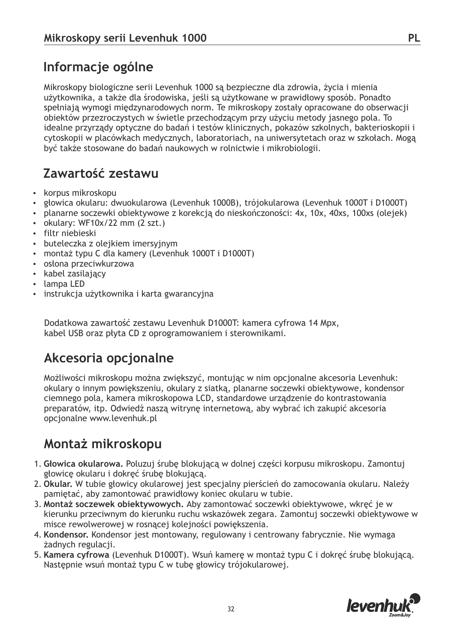# **Informacje ogólne**

Mikroskopy biologiczne serii Levenhuk 1000 są bezpieczne dla zdrowia, życia i mienia użytkownika, a także dla środowiska, jeśli są użytkowane w prawidłowy sposób. Ponadto spełniają wymogi międzynarodowych norm. Te mikroskopy zostały opracowane do obserwacji obiektów przezroczystych w świetle przechodzącym przy użyciu metody jasnego pola. To idealne przyrządy optyczne do badań i testów klinicznych, pokazów szkolnych, bakterioskopii i cytoskopii w placówkach medycznych, laboratoriach, na uniwersytetach oraz w szkołach. Mogą być także stosowane do badań naukowych w rolnictwie i mikrobiologii.

## **Zawartość zestawu**

- korpus mikroskopu
- џ głowica okularu: dwuokularowa (Levenhuk 1000B), trójokularowa (Levenhuk 1000T i D1000T)
- planarne soczewki obiektywowe z korekcją do nieskończoności: 4x, 10x, 40xs, 100xs (olejek)
- џ okulary: WF10x/22 mm (2 szt.)
- filtr niebieski
- $\cdot$  buteleczka z olejkiem imersyjnym
- montaż typu C dla kamery (Levenhuk 1000T i D1000T)
- џ osłona przeciwkurzowa
- kabel zasilający
- lampa LED
- instrukcja użytkownika i karta gwarancyjna

Dodatkowa zawartość zestawu Levenhuk D1000T: kamera cyfrowa 14 Mpx, kabel USB oraz płyta CD z oprogramowaniem i sterownikami.

#### **Akcesoria opcjonalne**

Możliwości mikroskopu można zwiększyć, montując w nim opcjonalne akcesoria Levenhuk: okulary o innym powiększeniu, okulary z siatką, planarne soczewki obiektywowe, kondensor ciemnego pola, kamera mikroskopowa LCD, standardowe urządzenie do kontrastowania preparatów, itp. Odwiedź naszą witrynę internetową, aby wybrać ich zakupić akcesoria opcjonalne www.levenhuk.pl

#### **Montaż mikroskopu**

- 1. **Głowica okularowa.** Poluzuj śrubę blokującą w dolnej części korpusu mikroskopu. Zamontuj głowicę okularu i dokręć śrubę blokującą.
- 2. **Okular.** W tubie głowicy okularowej jest specjalny pierścień do zamocowania okularu. Należy pamiętać, aby zamontować prawidłowy koniec okularu w tubie.
- 3. **Montaż soczewek obiektywowych.** Aby zamontować soczewki obiektywowe, wkręć je w kierunku przeciwnym do kierunku ruchu wskazówek zegara. Zamontuj soczewki obiektywowe w misce rewolwerowej w rosnącej kolejności powiększenia.
- 4. **Kondensor.** Kondensor jest montowany, regulowany i centrowany fabrycznie. Nie wymaga żadnych regulacji.
- 5. **Kamera cyfrowa** (Levenhuk D1000T). Wsuń kamerę w montaż typu C i dokręć śrubę blokującą. Następnie wsuń montaż typu C w tubę głowicy trójokularowej.

![](_page_31_Picture_24.jpeg)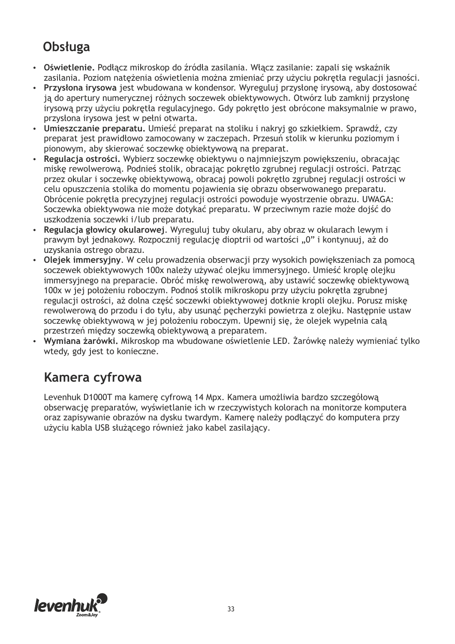# **Obsługa**

- џ **Oświetlenie.** Podłącz mikroskop do źródła zasilania. Włącz zasilanie: zapali się wskaźnik zasilania. Poziom natężenia oświetlenia można zmieniać przy użyciu pokrętła regulacji jasności.
- џ **Przysłona irysowa** jest wbudowana w kondensor. Wyreguluj przysłonę irysową, aby dostosować ją do apertury numerycznej różnych soczewek obiektywowych. Otwórz lub zamknij przysłonę irysową przy użyciu pokrętła regulacyjnego. Gdy pokrętło jest obrócone maksymalnie w prawo, przysłona irysowa jest w pełni otwarta.
- џ **Umieszczanie preparatu.** Umieść preparat na stoliku i nakryj go szkiełkiem. Sprawdź, czy preparat jest prawidłowo zamocowany w zaczepach. Przesuń stolik w kierunku poziomym i pionowym, aby skierować soczewkę obiektywową na preparat.
- џ **Regulacja ostrości.** Wybierz soczewkę obiektywu o najmniejszym powiększeniu, obracając miskę rewolwerową. Podnieś stolik, obracając pokrętło zgrubnej regulacji ostrości. Patrząc przez okular i soczewkę obiektywową, obracaj powoli pokrętło zgrubnej regulacji ostrości w celu opuszczenia stolika do momentu pojawienia się obrazu obserwowanego preparatu. Obrócenie pokrętła precyzyjnej regulacji ostrości powoduje wyostrzenie obrazu. UWAGA: Soczewka obiektywowa nie może dotykać preparatu. W przeciwnym razie może dojść do uszkodzenia soczewki i/lub preparatu.
- џ **Regulacja głowicy okularowej**. Wyreguluj tuby okularu, aby obraz w okularach lewym i prawym był jednakowy. Rozpocznij regulację dioptrii od wartości "0" i kontynuuj, aż do uzyskania ostrego obrazu.
- џ **Olejek immersyjny**. W celu prowadzenia obserwacji przy wysokich powiększeniach za pomocą soczewek obiektywowych 100x należy używać olejku immersyjnego. Umieść kroplę olejku immersyjnego na preparacie. Obróć miskę rewolwerową, aby ustawić soczewkę obiektywową 100x w jej położeniu roboczym. Podnoś stolik mikroskopu przy użyciu pokrętła zgrubnej regulacji ostrości, aż dolna część soczewki obiektywowej dotknie kropli olejku. Porusz miskę rewolwerową do przodu i do tyłu, aby usunąć pęcherzyki powietrza z olejku. Następnie ustaw soczewkę obiektywową w jej położeniu roboczym. Upewnij się, że olejek wypełnia całą przestrzeń między soczewką obiektywową a preparatem.
- џ **Wymiana żarówki.** Mikroskop ma wbudowane oświetlenie LED. Żarówkę należy wymieniać tylko wtedy, gdy jest to konieczne.

#### **Kamera cyfrowa**

Levenhuk D1000T ma kamerę cyfrową 14 Mpx. Kamera umożliwia bardzo szczegółową obserwację preparatów, wyświetlanie ich w rzeczywistych kolorach na monitorze komputera oraz zapisywanie obrazów na dysku twardym. Kamerę należy podłączyć do komputera przy użyciu kabla USB służącego również jako kabel zasilający.

![](_page_32_Picture_10.jpeg)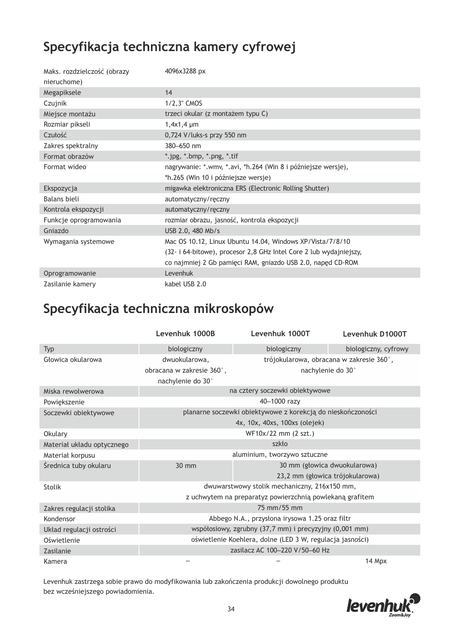#### **Specyfikacja techniczna kamery cyfrowej**

| Maks. rozdzielczość (obrazy | 4096x3288 px                                                       |  |
|-----------------------------|--------------------------------------------------------------------|--|
| nieruchome)                 |                                                                    |  |
| Megapiksele                 | 14                                                                 |  |
| Czujnik                     | 1/2,3" CMOS                                                        |  |
| Miejsce montażu             | trzeci okular (z montażem typu C)                                  |  |
| Rozmiar pikseli             | $1,4x1,4 \mu m$                                                    |  |
| Czułość                     | 0,724 V/luks-s przy 550 nm                                         |  |
| Zakres spektralny           | 380-650 nm                                                         |  |
| Format obrazów              | *.jpg, *.bmp, *.png, *.tif                                         |  |
| Format wideo                | nagrywanie: *.wmv, *.avi, *h.264 (Win 8 i późniejsze wersje),      |  |
|                             | *h.265 (Win 10 i późniejsze wersje)                                |  |
| Ekspozycja                  | migawka elektroniczna ERS (Electronic Rolling Shutter)             |  |
| Balans bieli                | automatyczny/ręczny                                                |  |
| Kontrola ekspozycji         | automatyczny/ręczny                                                |  |
| Funkcje oprogramowania      | rozmiar obrazu, jasność, kontrola ekspozycji                       |  |
| Gniazdo                     | USB 2.0, 480 Mb/s                                                  |  |
| Wymagania systemowe         | Mac OS 10.12, Linux Ubuntu 14.04, Windows XP/Vista/7/8/10          |  |
|                             | (32- i 64-bitowe), procesor 2,8 GHz Intel Core 2 lub wydajniejszy, |  |
|                             | co najmniej 2 Gb pamięci RAM, gniazdo USB 2.0, napęd CD-ROM        |  |
| Oprogramowanie              | Levenhuk                                                           |  |
| Zasilanie kamery            | kabel USB 2.0                                                      |  |

### **Specyfikacja techniczna mikroskopów**

|                                 | Levenhuk 1000B                                              | Levenhuk 1000T                           | Levenhuk D1000T      |
|---------------------------------|-------------------------------------------------------------|------------------------------------------|----------------------|
| Typ                             | biologiczny                                                 | biologiczny                              | biologiczny, cyfrowy |
| Głowica okularowa               | dwuokularowa,                                               | trójokularowa, obracana w zakresie 360°, |                      |
|                                 | obracana w zakresie 360°,                                   | nachylenie do 30°                        |                      |
|                                 | nachylenie do 30°                                           |                                          |                      |
| Miska rewolwerowa               | na cztery soczewki obiektywowe                              |                                          |                      |
| Powiększenie                    | 40-1000 razv                                                |                                          |                      |
| Soczewki obiektywowe            | planarne soczewki obiektywowe z korekcją do nieskończoności |                                          |                      |
|                                 | 4x, 10x, 40xs, 100xs (olejek)                               |                                          |                      |
| WF10x/22 mm (2 szt.)<br>Okulary |                                                             |                                          |                      |
| Materiał układu optycznego      |                                                             | szkło                                    |                      |
| Materiał korpusu                | aluminium, tworzywo sztuczne                                |                                          |                      |
| Średnica tuby okularu           | 30 mm                                                       | 30 mm (głowica dwuokularowa)             |                      |
|                                 |                                                             | 23,2 mm (głowica trójokularowa)          |                      |
| <b>Stolik</b>                   | dwuwarstwowy stolik mechaniczny, 216x150 mm,                |                                          |                      |
|                                 | z uchwytem na preparatyz powierzchnią powlekaną grafitem    |                                          |                      |
| Zakres regulacji stolika        | 75 mm/55 mm                                                 |                                          |                      |
| Kondensor                       | Abbego N.A., przysłona irysowa 1.25 oraz filtr              |                                          |                      |
| Układ regulacji ostrości        | współosiowy, zgrubny (37,7 mm) i precyzyjny (0,001 mm)      |                                          |                      |
| Oświetlenie                     | oświetlenie Koehlera, dolne (LED 3 W, regulacja jasności)   |                                          |                      |
| Zasilanie                       |                                                             | zasilacz AC 100-220 V/50-60 Hz           |                      |
| Kamera                          |                                                             |                                          | 14 Mpx               |

Levenhuk zastrzega sobie prawo do modyfikowania lub zakończenia produkcji dowolnego produktu bez wcześniejszego powiadomienia.

![](_page_33_Picture_5.jpeg)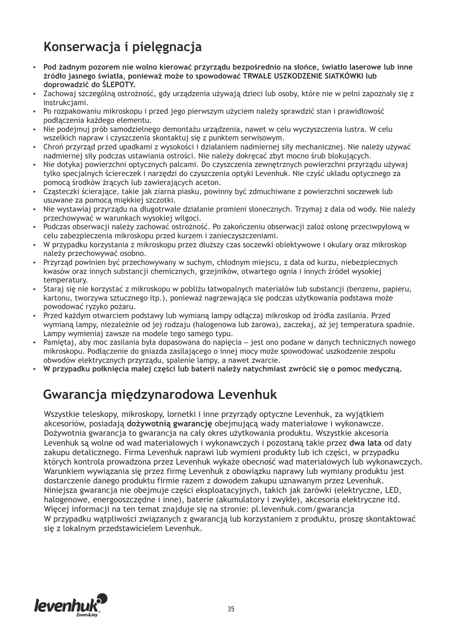# **Konserwacja i pielęgnacja**

- џ **Pod żadnym pozorem nie wolno kierować przyrządu bezpośrednio na słońce, światło laserowe lub inne źródło jasnego światła, ponieważ może to spowodować TRWAŁE USZKODZENIE SIATKÓWKI lub doprowadzić do ŚLEPOTY.**
- џ Zachowaj szczególną ostrożność, gdy urządzenia używają dzieci lub osoby, które nie w pełni zapoznały się z instrukcjami.
- џ Po rozpakowaniu mikroskopu i przed jego pierwszym użyciem należy sprawdzić stan i prawidłowość podłączenia każdego elementu.
- Nie podejmuj prób samodzielnego demontażu urządzenia, nawet w celu wyczyszczenia lustra. W celu wszelkich napraw i czyszczenia skontaktuj się z punktem serwisowym.
- џ Chroń przyrząd przed upadkami z wysokości i działaniem nadmiernej siły mechanicznej. Nie należy używać nadmiernej siły podczas ustawiania ostrości. Nie należy dokręcać zbyt mocno śrub blokujących.
- џ Nie dotykaj powierzchni optycznych palcami. Do czyszczenia zewnętrznych powierzchni przyrządu używaj tylko specjalnych ściereczek i narzędzi do czyszczenia optyki Levenhuk. Nie czyść układu optycznego za pomocą środków żrących lub zawierających aceton.
- џ Cząsteczki ścierające, takie jak ziarna piasku, powinny być zdmuchiwane z powierzchni soczewek lub usuwane za pomocą miękkiej szczotki.
- џ Nie wystawiaj przyrządu na długotrwałe działanie promieni słonecznych. Trzymaj z dala od wody. Nie należy przechowywać w warunkach wysokiej wilgoci.
- џ Podczas obserwacji należy zachować ostrożność. Po zakończeniu obserwacji założ osłonę przeciwpyłową w celu zabezpieczenia mikroskopu przed kurzem i zanieczyszczeniami.
- џ W przypadku korzystania z mikroskopu przez dłuższy czas soczewki obiektywowe i okulary oraz mikroskop należy przechowywać osobno.
- Przyrząd powinien być przechowywany w suchym, chłodnym miejscu, z dala od kurzu, niebezpiecznych kwasów oraz innych substancji chemicznych, grzejników, otwartego ognia i innych źródeł wysokiej temperatury.
- џ Staraj się nie korzystać z mikroskopu w pobliżu łatwopalnych materiałów lub substancji (benzenu, papieru, kartonu, tworzywa sztucznego itp.), ponieważ nagrzewająca się podczas użytkowania podstawa może powodować ryzyko pożaru.
- џ Przed każdym otwarciem podstawy lub wymianą lampy odłączaj mikroskop od źródła zasilania. Przed wymianą lampy, niezależnie od jej rodzaju (halogenowa lub żarowa), zaczekaj, aż jej temperatura spadnie. Lampy wymieniaj zawsze na modele tego samego typu.
- Pamiętaj, aby moc zasilania była dopasowana do napięcia jest ono podane w danych technicznych nowego mikroskopu. Podłączenie do gniazda zasilającego o innej mocy może spowodować uszkodzenie zespołu obwodów elektrycznych przyrządu, spalenie lampy, a nawet zwarcie.
- џ **W przypadku połknięcia małej części lub baterii należy natychmiast zwrócić się o pomoc medyczną.**

#### **Gwarancja międzynarodowa Levenhuk**

Wszystkie teleskopy, mikroskopy, lornetki i inne przyrządy optyczne Levenhuk, za wyjątkiem akcesoriów, posiadają **dożywotnią gwarancję** obejmującą wady materiałowe i wykonawcze. Dożywotnia gwarancja to gwarancja na cały okres użytkowania produktu. Wszystkie akcesoria Levenhuk są wolne od wad materiałowych i wykonawczych i pozostaną takie przez **dwa lata** od daty zakupu detalicznego. Firma Levenhuk naprawi lub wymieni produkty lub ich części, w przypadku których kontrola prowadzona przez Levenhuk wykaże obecność wad materiałowych lub wykonawczych. Warunkiem wywiązania się przez firmę Levenhuk z obowiązku naprawy lub wymiany produktu jest dostarczenie danego produktu firmie razem z dowodem zakupu uznawanym przez Levenhuk. Niniejsza gwarancja nie obejmuje części eksploatacyjnych, takich jak żarówki (elektryczne, LED, halogenowe, energooszczędne i inne), baterie (akumulatory i zwykłe), akcesoria elektryczne itd. Więcej informacji na ten temat znajduje się na stronie: pl.levenhuk.com/gwarancja W przypadku wątpliwości związanych z gwarancją lub korzystaniem z produktu, proszę skontaktować się z lokalnym przedstawicielem Levenhuk.

![](_page_34_Picture_18.jpeg)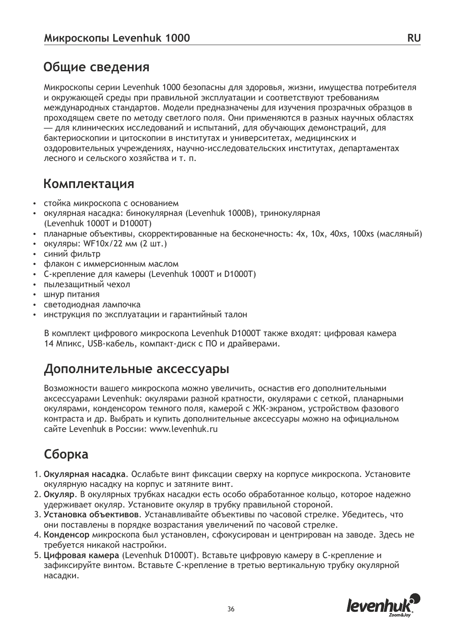#### **Общие сведения**

Микроскопы серии Levenhuk 1000 безопасны для здоровья, жизни, имущества потребителя и окружающей среды при правильной эксплуатации и соответствуют требованиям международных стандартов. Модели предназначены для изучения прозрачных образцов в проходящем свете по методу светлого поля. Они применяются в разных научных областях — для клинических исследований и испытаний, для обучающих демонстраций, для бактериоскопии и цитоскопии в институтах и университетах, медицинских и оздоровительных учреждениях, научно-исследовательских институтах, департаментах лесного и сельского хозяйства и т. п.

#### **Комплектация**

- стойка микроскопа с основанием
- џ окулярная насадка: бинокулярная (Levenhuk 1000B), тринокулярная (Levenhuk 1000T и D1000T)
- џ планарные объективы, скорректированные на бесконечность: 4х, 10х, 40xs, 100хs (масляный)
- окуляры: WF10x/22 мм (2 шт.)
- синий фильтр
- џ флакон c иммерсионным маслом
- џ C-крепление для камеры (Levenhuk 1000T и D1000T)
- пылезащитный чехол
- шнур питания
- светодиодная лампочка
- џ инструкция по эксплуатации и гарантийный талон

В комплект цифрового микроскопа Levenhuk D1000T также входят: цифровая камера 14 Мпикс, USB-кабель, компакт-диск с ПО и драйверами.

#### **Дополнительные аксессуары**

Возможности вашего микроскопа можно увеличить, оснастив его дополнительными аксессуарами Levenhuk: окулярами разной кратности, окулярами с сеткой, планарными окулярами, конденсором темного поля, камерой с ЖК-экраном, устройством фазового контраста и др. Выбрать и купить дополнительные аксессуары можно на официальном сайте Levenhuk в России: www.levenhuk.ru

#### **Сборка**

- 1. **Окулярная насадка**. Ослабьте винт фиксации сверху на корпусе микроскопа. Установите окулярную насадку на корпус и затяните винт.
- 2. **Окуляр**. В окулярных трубках насадки есть особо обработанное кольцо, которое надежно удерживает окуляр. Установите окуляр в трубку правильной стороной.
- 3. **Установка объективов**. Устанавливайте объективы по часовой стрелке. Убедитесь, что они поставлены в порядке возрастания увеличений по часовой стрелке.
- 4. **Конденсор** микроскопа был установлен, сфокусирован и центрирован на заводе. Здесь не требуется никакой настройки.
- 5. **Цифровая камера** (Levenhuk D1000T). Вставьте цифровую камеру в C-крепление и зафиксируйте винтом. Вставьте C-крепление в третью вертикальную трубку окулярной насадки.

![](_page_35_Picture_24.jpeg)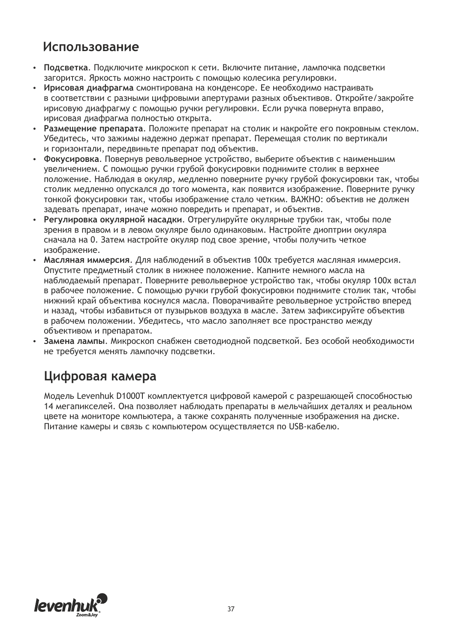#### **Использование**

- џ **Подсветка**. Подключите микроскоп к сети. Включите питание, лампочка подсветки загорится. Яркость можно настроить с помощью колесика регулировки.
- џ **Ирисовая диафрагма** смонтирована на конденсоре. Ее необходимо настраивать в соответствии с разными цифровыми апертурами разных объективов. Откройте/закройте ирисовую диафрагму с помощью ручки регулировки. Если ручка повернута вправо, ирисовая диафрагма полностью открыта.
- џ **Размещение препарата**. Положите препарат на столик и накройте его покровным стеклом. Убедитесь, что зажимы надежно держат препарат. Перемещая столик по вертикали и горизонтали, передвиньте препарат под объектив.
- џ **Фокусировка**. Повернув револьверное устройство, выберите объектив с наименьшим увеличением. С помощью ручки грубой фокусировки поднимите столик в верхнее положение. Наблюдая в окуляр, медленно поверните ручку грубой фокусировки так, чтобы столик медленно опускался до того момента, как появится изображение. Поверните ручку тонкой фокусировки так, чтобы изображение стало четким. ВАЖНО: объектив не должен задевать препарат, иначе можно повредить и препарат, и объектив.
- џ **Регулировка окулярной насадки**. Отрегулируйте окулярные трубки так, чтобы поле зрения в правом и в левом окуляре было одинаковым. Настройте диоптрии окуляра сначала на 0. Затем настройте окуляр под свое зрение, чтобы получить четкое изображение.
- џ **Масляная иммерсия**. Для наблюдений в объектив 100x требуется масляная иммерсия. Опустите предметный столик в нижнее положение. Капните немного масла на наблюдаемый препарат. Поверните револьверное устройство так, чтобы окуляр 100x встал в рабочее положение. С помощью ручки грубой фокусировки поднимите столик так, чтобы нижний край объектива коснулся масла. Поворачивайте револьверное устройство вперед и назад, чтобы избавиться от пузырьков воздуха в масле. Затем зафиксируйте объектив в рабочем положении. Убедитесь, что масло заполняет все пространство между объективом и препаратом.
- џ **Замена лампы**. Микроскоп снабжен светодиодной подсветкой. Без особой необходимости не требуется менять лампочку подсветки.

#### **Цифровая камера**

Модель Levenhuk D1000T комплектуется цифровой камерой с разрешающей способностью 14 мегапикселей. Она позволяет наблюдать препараты в мельчайших деталях и реальном цвете на мониторе компьютера, а также сохранять полученные изображения на диске. Питание камеры и связь с компьютером осуществляется по USB-кабелю.

![](_page_36_Picture_10.jpeg)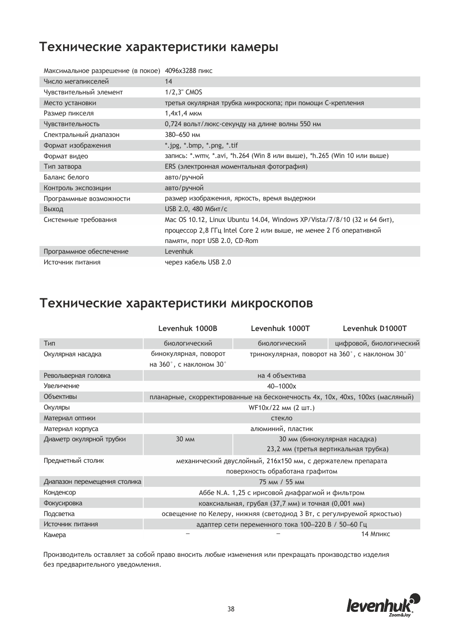#### **Технические характеристики камеры**

| Максимальное разрешение (в покое) 4096х3288 пикс |                                                                          |
|--------------------------------------------------|--------------------------------------------------------------------------|
| Число мегапикселей                               | 14                                                                       |
| Чувствительный элемент                           | $1/2,3$ " CMOS                                                           |
| Место установки                                  | третья окулярная трубка микроскопа; при помощи С-крепления               |
| Размер пикселя                                   | 1,4x1,4 MKM                                                              |
| Чувствительность                                 | 0,724 вольт/люкс-секунду на длине волны 550 нм                           |
| Спектральный диапазон                            | 380-650 нм                                                               |
| Формат изображения                               | *.jpg, *.bmp, *.png, *.tif                                               |
| Формат видео                                     | запись: *.wmv, *.avi, *h.264 (Win 8 или выше), *h.265 (Win 10 или выше)  |
| Тип затвора                                      | ERS (электронная моментальная фотография)                                |
| Баланс белого                                    | авто/ручной                                                              |
| Контроль экспозиции                              | авто/ручной                                                              |
| Программные возможности                          | размер изображения, яркость, время выдержки                              |
| Выход                                            | USB 2.0, 480 Мбит/с                                                      |
| Системные требования                             | Mac OS 10.12, Linux Ubuntu 14.04, Windows XP/Vista/7/8/10 (32 и 64 бит), |
|                                                  | процессор 2,8 ГГц Intel Core 2 или выше, не менее 2 Гб оперативной       |
|                                                  | памяти, порт USB 2.0, CD-Rom                                             |
| Программное обеспечение                          | Levenhuk                                                                 |
| Источник питания                                 | через кабель USB 2.0                                                     |

#### **Технические характеристики микроскопов**

|                              | Levenhuk 1000B                                                                | Levenhuk 1000T | Levenhuk D1000T                                |
|------------------------------|-------------------------------------------------------------------------------|----------------|------------------------------------------------|
| Тип                          | биологический                                                                 | биологический  | цифровой, биологический                        |
| Окулярная насадка            | бинокулярная, поворот                                                         |                | тринокулярная, поворот на 360°, с наклоном 30° |
|                              | на 360°, с наклоном 30°                                                       |                |                                                |
| Револьверная головка         | на 4 объектива                                                                |                |                                                |
| Увеличение                   | 40-1000x                                                                      |                |                                                |
| Объективы                    | планарные, скорректированные на бесконечность 4x, 10x, 40xs, 100xs (масляный) |                |                                                |
| Окуляры                      | WF10x/22 мм (2 шт.)                                                           |                |                                                |
| Материал оптики              | стекло                                                                        |                |                                                |
| Материал корпуса             | алюминий, пластик                                                             |                |                                                |
| Диаметр окулярной трубки     | <b>30 MM</b>                                                                  |                | 30 мм (бинокулярная насадка)                   |
|                              |                                                                               |                | 23,2 мм (третья вертикальная трубка)           |
| Предметный столик            | механический двуслойный, 216х150 мм, с держателем препарата                   |                |                                                |
|                              | поверхность обработана графитом                                               |                |                                                |
| Диапазон перемещения столика | 75 MM / 55 MM                                                                 |                |                                                |
| Конденсор                    | Аббе N.A. 1,25 с ирисовой диафрагмой и фильтром                               |                |                                                |
| Фокусировка                  | коаксиальная, грубая (37,7 мм) и точная (0,001 мм)                            |                |                                                |
| Подсветка                    | освещение по Келеру, нижняя (светодиод 3 Вт, с регулируемой яркостью)         |                |                                                |
| Источник питания             | адаптер сети переменного тока 100-220 В / 50-60 Гц                            |                |                                                |
| Камера                       | 14 Мпикс                                                                      |                |                                                |

Производитель оставляет за собой право вносить любые изменения или прекращать производство изделия без предварительного уведомления.

![](_page_37_Picture_5.jpeg)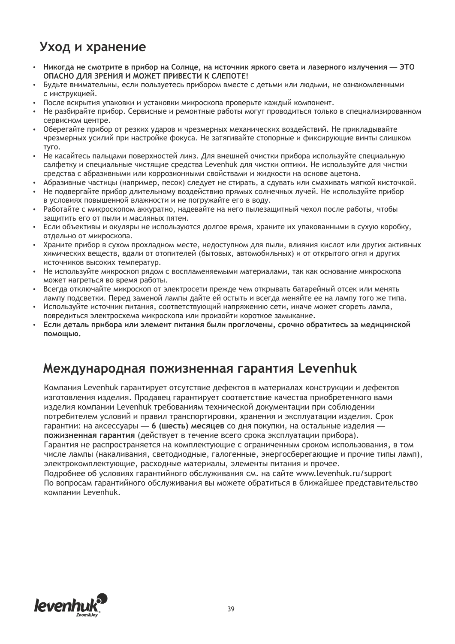#### **Уход и хранение**

- џ **Никогда не смотрите в прибор на Солнце, на источник яркого света и лазерного излучения — ЭТО ОПАСНО ДЛЯ ЗРЕНИЯ И МОЖЕТ ПРИВЕСТИ К СЛЕПОТЕ!**
- Будьте внимательны, если пользуетесь прибором вместе с детьми или людьми, не ознакомленными с инструкцией.
- После вскрытия упаковки и установки микроскопа проверьте каждый компонент.
- Не разбирайте прибор. Сервисные и ремонтные работы могут проводиться только в специализированном сервисном центре.
- Оберегайте прибор от резких ударов и чрезмерных механических воздействий. Не прикладывайте чрезмерных усилий при настройке фокуса. Не затягивайте стопорные и фиксирующие винты слишком туго.
- Не касайтесь пальцами поверхностей линз. Для внешней очистки прибора используйте специальную салфетку и специальные чистящие средства Levenhuk для чистки оптики. Не используйте для чистки средства с абразивными или коррозионными свойствами и жидкости на основе ацетона.
- Абразивные частицы (например, песок) следует не стирать, а сдувать или смахивать мягкой кисточкой.
- Не подвергайте прибор длительному воздействию прямых солнечных лучей. Не используйте прибор в условиях повышенной влажности и не погружайте его в воду.
- Работайте с микроскопом аккуратно, надевайте на него пылезащитный чехол после работы, чтобы защитить его от пыли и масляных пятен.
- Если объективы и окуляры не используются долгое время, храните их упакованными в сухую коробку, отдельно от микроскопа.
- Храните прибор в сухом прохладном месте, недоступном для пыли, влияния кислот или других активных химических веществ, вдали от отопителей (бытовых, автомобильных) и от открытого огня и других источников высоких температур.
- Не используйте микроскоп рядом с воспламеняемыми материалами, так как основание микроскопа может нагреться во время работы.
- Всегда отключайте микроскоп от электросети прежде чем открывать батарейный отсек или менять лампу подсветки. Перед заменой лампы дайте ей остыть и всегда меняйте ее на лампу того же типа.
- Используйте источник питания, соответствующий напряжению сети, иначе может сгореть лампа, повредиться электросхема микроскопа или произойти короткое замыкание.
- џ **Если деталь прибора или элемент питания были проглочены, срочно обратитесь за медицинской помощью.**

#### **Международная пожизненная гарантия Levenhuk**

Компания Levenhuk гарантирует отсутствие дефектов в материалах конструкции и дефектов изготовления изделия. Продавец гарантирует соответствие качества приобретенного вами изделия компании Levenhuk требованиям технической документации при соблюдении потребителем условий и правил транспортировки, хранения и эксплуатации изделия. Срок гарантии: на аксессуары — **6 (шесть) месяцев** со дня покупки, на остальные изделия **пожизненная гарантия** (действует в течение всего срока эксплуатации прибора).

Гарантия не распространяется на комплектующие с ограниченным сроком использования, в том числе лампы (накаливания, светодиодные, галогенные, энергосберегающие и прочие типы ламп), электрокомплектующие, расходные материалы, элементы питания и прочее.

Подробнее об условиях гарантийного обслуживания см. на сайте www.levenhuk.ru/support По вопросам гарантийного обслуживания вы можете обратиться в ближайшее представительство компании Levenhuk.

![](_page_38_Picture_20.jpeg)